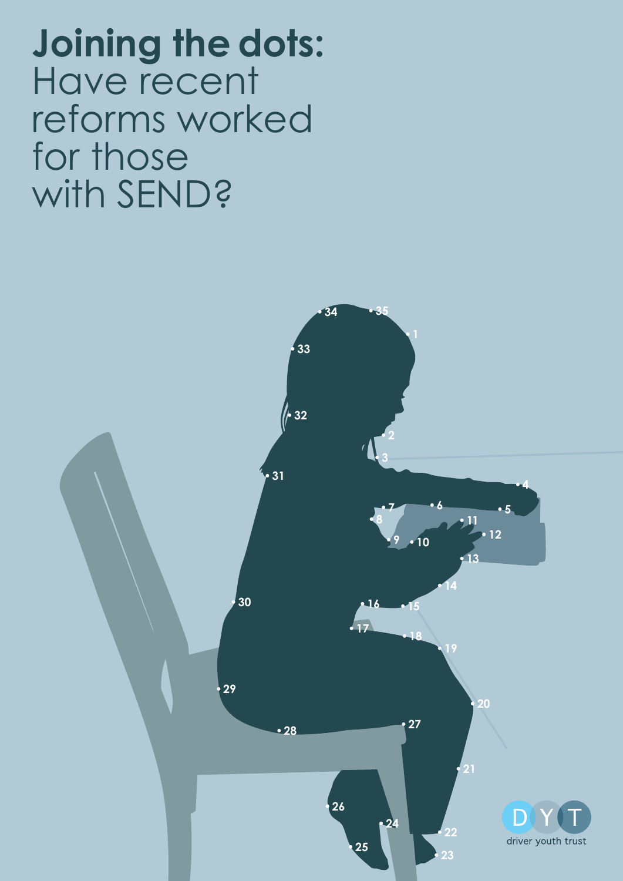**Joining the dots:**  Have recent reforms worked for those with SEND?

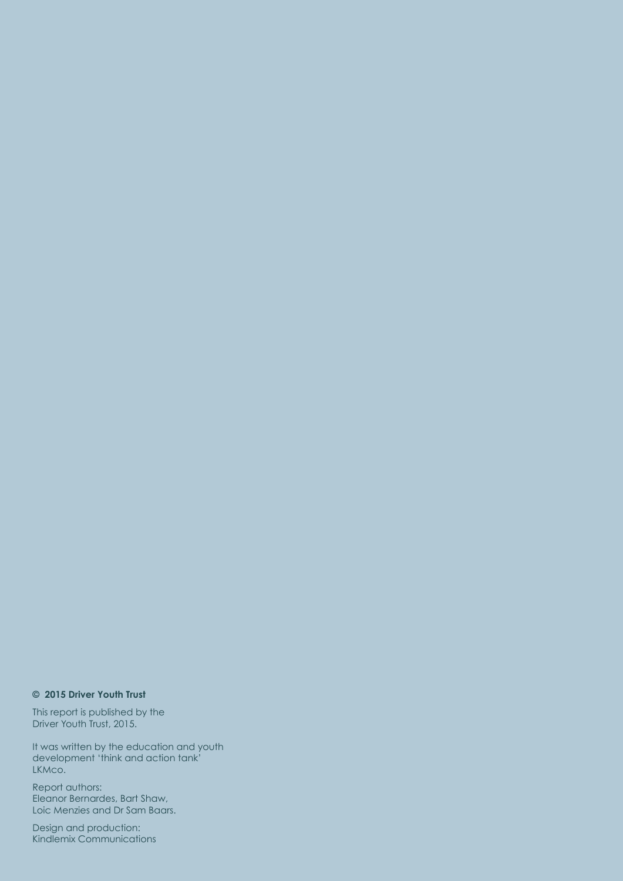#### **© 2015 Driver Youth Trust**

This report is published by the Driver Youth Trust, 2015.

It was written by the education and youth development 'think and action tank' LKMco.

Report authors: Eleanor Bernardes, Bart Shaw, Loic Menzies and Dr Sam Baars.

2 Kindlemix CommunicationsDesign and production: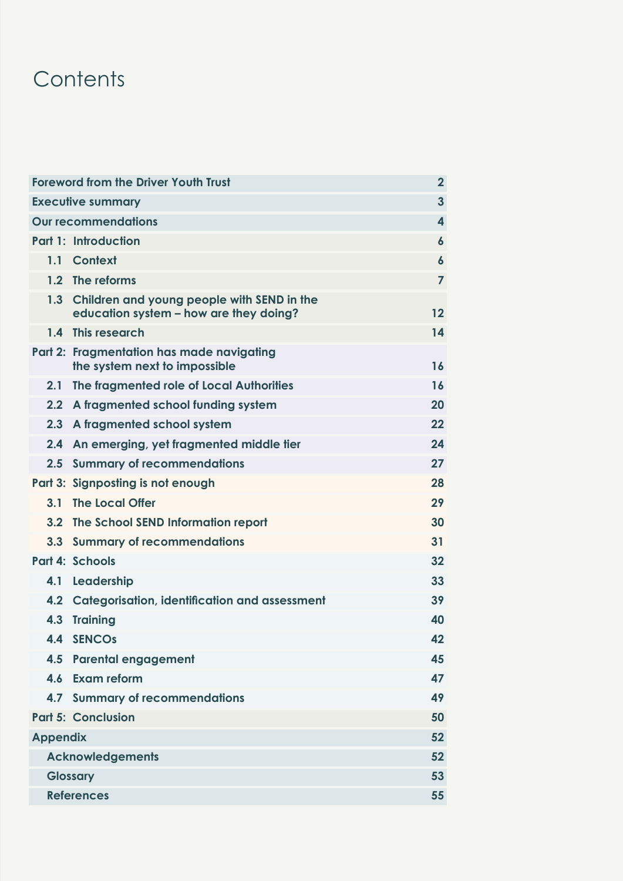## **Contents**

| <b>Foreword from the Driver Youth Trust</b> |                                                                                          | $\overline{2}$          |
|---------------------------------------------|------------------------------------------------------------------------------------------|-------------------------|
| <b>Executive summary</b>                    |                                                                                          | $\overline{3}$          |
| <b>Our recommendations</b>                  |                                                                                          | $\overline{\mathbf{4}}$ |
|                                             | <b>Part 1: Introduction</b>                                                              | $\boldsymbol{6}$        |
| 1.1                                         | <b>Context</b>                                                                           | $\boldsymbol{6}$        |
|                                             | 1.2 The reforms                                                                          | $\overline{7}$          |
|                                             | 1.3 Children and young people with SEND in the<br>education system - how are they doing? | 12                      |
|                                             | 1.4 This research                                                                        | 14                      |
|                                             | Part 2: Fragmentation has made navigating<br>the system next to impossible               | 16                      |
| 2.1                                         | The fragmented role of Local Authorities                                                 | 16                      |
| 2.2                                         | A fragmented school funding system                                                       | 20                      |
| 2.3                                         | A fragmented school system                                                               | 22                      |
| 2.4                                         | An emerging, yet fragmented middle tier                                                  | 24                      |
|                                             | 2.5 Summary of recommendations                                                           | 27                      |
|                                             | Part 3: Signposting is not enough                                                        | 28                      |
| 3.1                                         | <b>The Local Offer</b>                                                                   | 29                      |
|                                             | 3.2 The School SEND Information report                                                   | 30                      |
|                                             | 3.3 Summary of recommendations                                                           | 31                      |
|                                             | <b>Part 4: Schools</b>                                                                   | 32                      |
| 4.1                                         | Leadership                                                                               | 33                      |
|                                             | 4.2 Categorisation, identification and assessment                                        | 39                      |
|                                             | 4.3 Training                                                                             | 40                      |
|                                             | 4.4 SENCOS                                                                               | 42                      |
|                                             | 4.5 Parental engagement                                                                  | 45                      |
|                                             | 4.6 Exam reform                                                                          | 47                      |
|                                             | 4.7 Summary of recommendations                                                           | 49                      |
|                                             | <b>Part 5: Conclusion</b>                                                                | 50                      |
| <b>Appendix</b>                             |                                                                                          | 52                      |
| <b>Acknowledgements</b>                     |                                                                                          | 52                      |
| <b>Glossary</b>                             |                                                                                          | 53                      |
| <b>References</b>                           |                                                                                          | 55                      |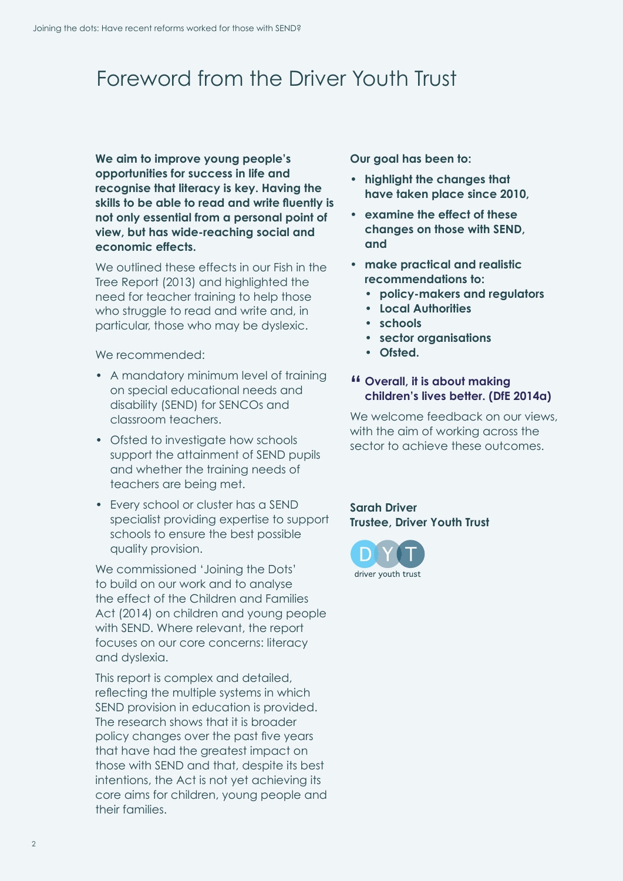## <span id="page-3-0"></span>Foreword from the Driver Youth Trust

**We aim to improve young people's opportunities for success in life and recognise that literacy is key. Having the skills to be able to read and write fluently is not only essential from a personal point of view, but has wide-reaching social and economic effects.** 

We outlined these effects in our Fish in the Tree Report (2013) and highlighted the need for teacher training to help those who struggle to read and write and, in particular, those who may be dyslexic.

We recommended:

- A mandatory minimum level of training on special educational needs and disability (SEND) for SENCOs and classroom teachers.
- Ofsted to investigate how schools support the attainment of SEND pupils and whether the training needs of teachers are being met.
- Every school or cluster has a SEND specialist providing expertise to support schools to ensure the best possible quality provision.

We commissioned 'Joining the Dots' to build on our work and to analyse the effect of the Children and Families Act (2014) on children and young people with SEND. Where relevant, the report focuses on our core concerns: literacy and dyslexia.

This report is complex and detailed, reflecting the multiple systems in which SEND provision in education is provided. The research shows that it is broader policy changes over the past five years that have had the greatest impact on those with SEND and that, despite its best intentions, the Act is not yet achieving its core aims for children, young people and their families.

**Our goal has been to:**

- **• highlight the changes that have taken place since 2010,**
- **• examine the effect of these changes on those with SEND, and**
- **• make practical and realistic recommendations to:**
	- **• policy-makers and regulators**
	- **• Local Authorities**
	- **• schools**
	- **• sector organisations**
	- **• Ofsted.**

#### **" Overall, it is about making children's lives better. (DfE 2014a)**

We welcome feedback on our views, with the aim of working across the sector to achieve these outcomes.

**Sarah Driver Trustee, Driver Youth Trust**

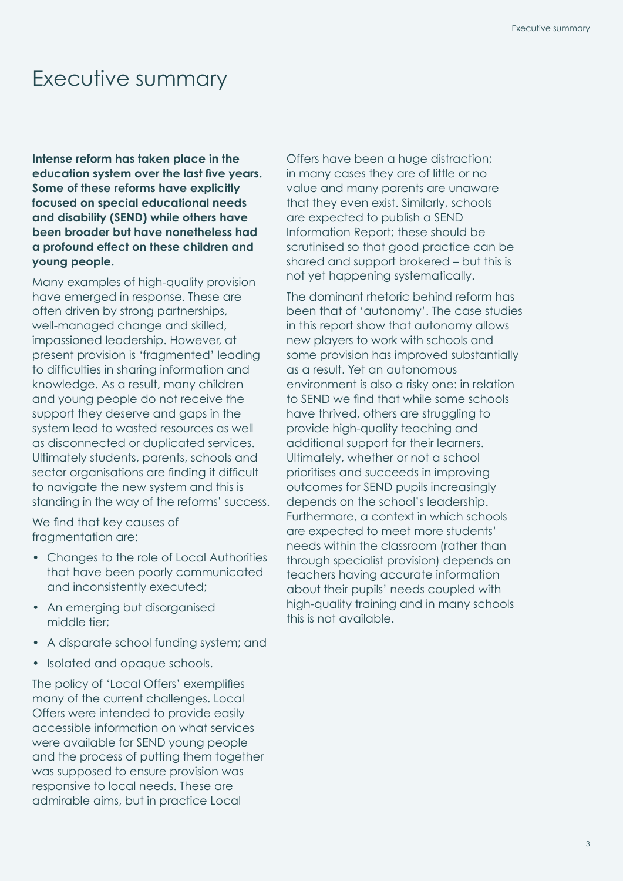## <span id="page-4-0"></span>Executive summary

**Intense reform has taken place in the education system over the last five years. Some of these reforms have explicitly focused on special educational needs and disability (SEND) while others have been broader but have nonetheless had a profound effect on these children and young people.** 

Many examples of high-quality provision have emerged in response. These are often driven by strong partnerships, well-managed change and skilled, impassioned leadership. However, at present provision is 'fragmented' leading to difficulties in sharing information and knowledge. As a result, many children and young people do not receive the support they deserve and gaps in the system lead to wasted resources as well as disconnected or duplicated services. Ultimately students, parents, schools and sector organisations are finding it difficult to navigate the new system and this is standing in the way of the reforms' success.

We find that key causes of fragmentation are:

- Changes to the role of Local Authorities that have been poorly communicated and inconsistently executed;
- An emerging but disorganised middle tier;
- A disparate school funding system; and
- Isolated and opaque schools.

The policy of 'Local Offers' exemplifies many of the current challenges. Local Offers were intended to provide easily accessible information on what services were available for SEND young people and the process of putting them together was supposed to ensure provision was responsive to local needs. These are admirable aims, but in practice Local

Offers have been a huge distraction; in many cases they are of little or no value and many parents are unaware that they even exist. Similarly, schools are expected to publish a SEND Information Report; these should be scrutinised so that good practice can be shared and support brokered – but this is not yet happening systematically.

The dominant rhetoric behind reform has been that of 'autonomy'. The case studies in this report show that autonomy allows new players to work with schools and some provision has improved substantially as a result. Yet an autonomous environment is also a risky one: in relation to SEND we find that while some schools have thrived, others are struggling to provide high-quality teaching and additional support for their learners. Ultimately, whether or not a school prioritises and succeeds in improving outcomes for SEND pupils increasingly depends on the school's leadership. Furthermore, a context in which schools are expected to meet more students' needs within the classroom (rather than through specialist provision) depends on teachers having accurate information about their pupils' needs coupled with high-quality training and in many schools this is not available.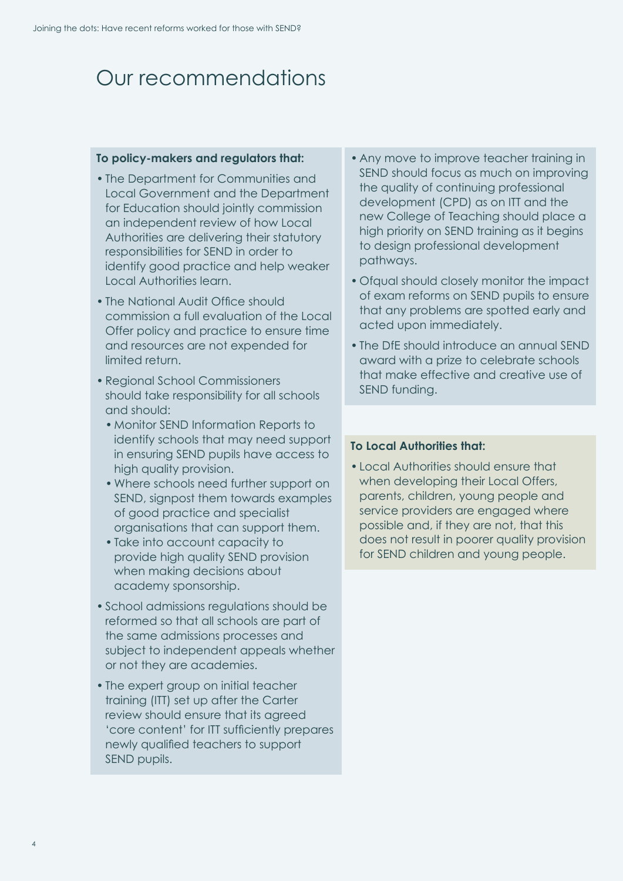## <span id="page-5-0"></span>Our recommendations

#### **To policy-makers and regulators that:**

- The Department for Communities and Local Government and the Department for Education should jointly commission an independent review of how Local Authorities are delivering their statutory responsibilities for SEND in order to identify good practice and help weaker Local Authorities learn.
- The National Audit Office should commission a full evaluation of the Local Offer policy and practice to ensure time and resources are not expended for limited return.
- Regional School Commissioners should take responsibility for all schools and should:
	- Monitor SEND Information Reports to identify schools that may need support in ensuring SEND pupils have access to high quality provision.
	- Where schools need further support on SEND, signpost them towards examples of good practice and specialist organisations that can support them.
	- Take into account capacity to provide high quality SEND provision when making decisions about academy sponsorship.
- School admissions regulations should be reformed so that all schools are part of the same admissions processes and subject to independent appeals whether or not they are academies.
- The expert group on initial teacher training (ITT) set up after the Carter review should ensure that its agreed 'core content' for ITT sufficiently prepares newly qualified teachers to support SEND pupils.
- Any move to improve teacher training in SEND should focus as much on improving the quality of continuing professional development (CPD) as on ITT and the new College of Teaching should place a high priority on SEND training as it begins to design professional development pathways.
- Ofqual should closely monitor the impact of exam reforms on SEND pupils to ensure that any problems are spotted early and acted upon immediately.
- The DfE should introduce an annual SEND award with a prize to celebrate schools that make effective and creative use of SEND funding.

#### **To Local Authorities that:**

• Local Authorities should ensure that when developing their Local Offers, parents, children, young people and service providers are engaged where possible and, if they are not, that this does not result in poorer quality provision for SEND children and young people.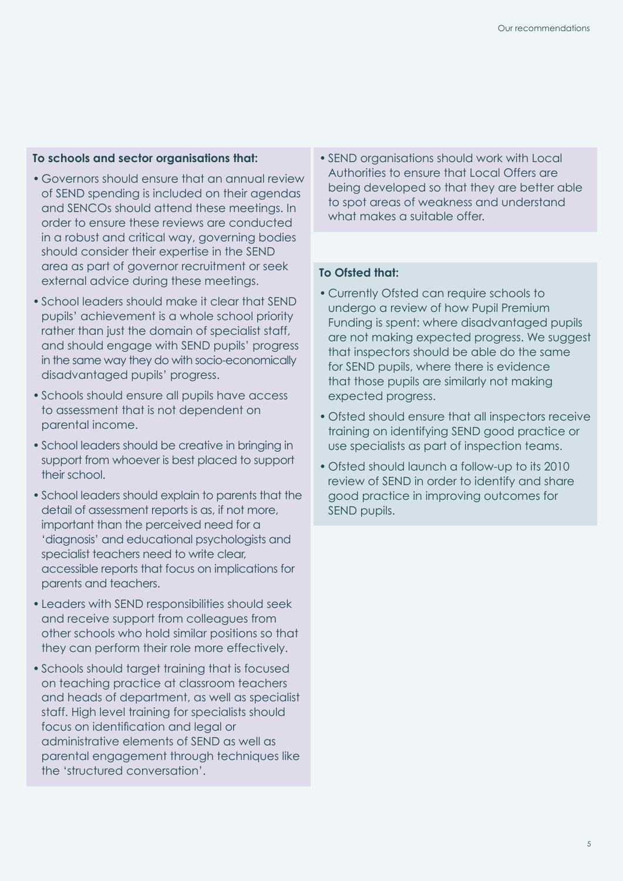#### **To schools and sector organisations that:**

- Governors should ensure that an annual review of SEND spending is included on their agendas and SENCOs should attend these meetings. In order to ensure these reviews are conducted in a robust and critical way, governing bodies should consider their expertise in the SEND area as part of governor recruitment or seek external advice during these meetings.
- School leaders should make it clear that SEND pupils' achievement is a whole school priority rather than just the domain of specialist staff, and should engage with SEND pupils' progress in the same way they do with socio-economically disadvantaged pupils' progress.
- Schools should ensure all pupils have access to assessment that is not dependent on parental income.
- School leaders should be creative in bringing in support from whoever is best placed to support their school.
- School leaders should explain to parents that the detail of assessment reports is as, if not more, important than the perceived need for a 'diagnosis' and educational psychologists and specialist teachers need to write clear, accessible reports that focus on implications for parents and teachers.
- Leaders with SEND responsibilities should seek and receive support from colleagues from other schools who hold similar positions so that they can perform their role more effectively.
- Schools should target training that is focused on teaching practice at classroom teachers and heads of department, as well as specialist staff. High level training for specialists should focus on identification and legal or administrative elements of SEND as well as parental engagement through techniques like the 'structured conversation'.

• SEND organisations should work with Local Authorities to ensure that Local Offers are being developed so that they are better able to spot areas of weakness and understand what makes a suitable offer.

#### **To Ofsted that:**

- Currently Ofsted can require schools to undergo a review of how Pupil Premium Funding is spent: where disadvantaged pupils are not making expected progress. We suggest that inspectors should be able do the same for SEND pupils, where there is evidence that those pupils are similarly not making expected progress.
- Ofsted should ensure that all inspectors receive training on identifying SEND good practice or use specialists as part of inspection teams.
- Ofsted should launch a follow-up to its 2010 review of SEND in order to identify and share good practice in improving outcomes for SEND pupils.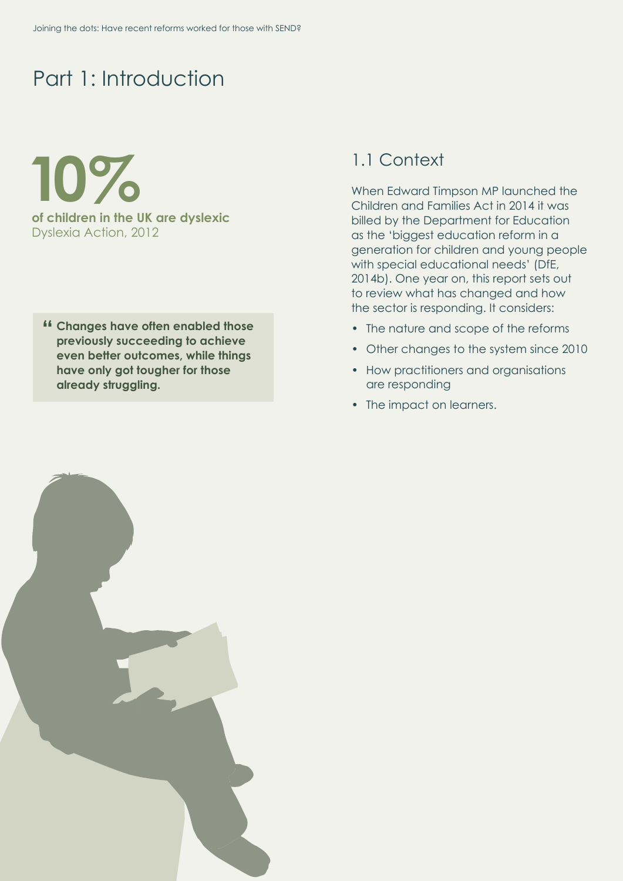## <span id="page-7-0"></span>Part 1: Introduction

**10% of children in the UK are dyslexic**  Dyslexia Action, 2012

**" Changes have often enabled those previously succeeding to achieve even better outcomes, while things have only got tougher for those already struggling.**

### <span id="page-7-1"></span>1.1 Context

When Edward Timpson MP launched the Children and Families Act in 2014 it was billed by the Department for Education as the 'biggest education reform in a generation for children and young people with special educational needs' (DfE, 2014b). One year on, this report sets out to review what has changed and how the sector is responding. It considers:

- The nature and scope of the reforms
- Other changes to the system since 2010
- How practitioners and organisations are responding
- The impact on learners.

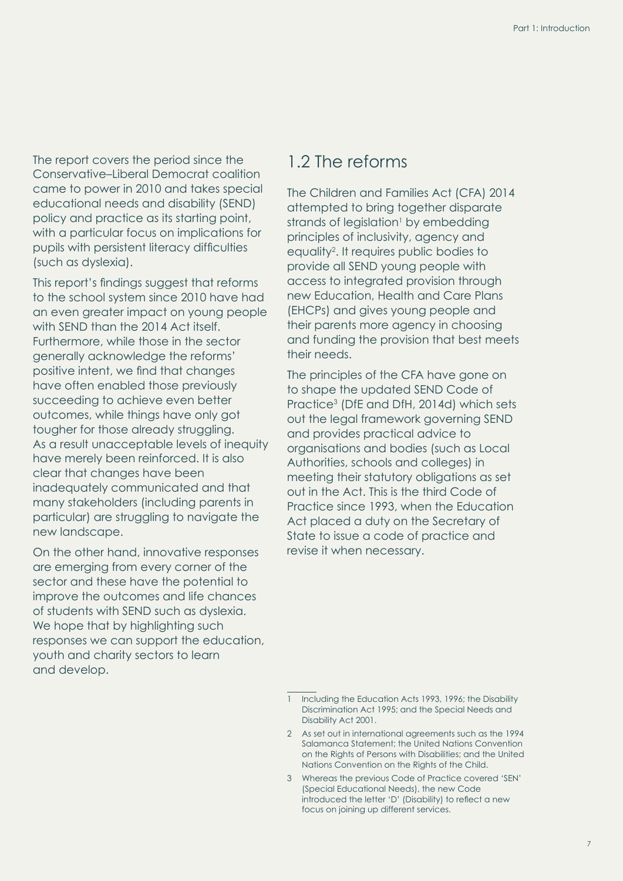The report covers the period since the Conservative–Liberal Democrat coalition came to power in 2010 and takes special educational needs and disability (SEND) policy and practice as its starting point, with a particular focus on implications for pupils with persistent literacy difficulties (such as dyslexia).

This report's findings suggest that reforms to the school system since 2010 have had an even greater impact on young people with SEND than the 2014 Act itself. Furthermore, while those in the sector generally acknowledge the reforms' positive intent, we find that changes have often enabled those previously succeeding to achieve even better outcomes, while things have only got tougher for those already struggling. As a result unacceptable levels of inequity have merely been reinforced. It is also clear that changes have been inadequately communicated and that many stakeholders (including parents in particular) are struggling to navigate the new landscape.

On the other hand, innovative responses are emerging from every corner of the sector and these have the potential to improve the outcomes and life chances of students with SEND such as dyslexia. We hope that by highlighting such responses we can support the education, youth and charity sectors to learn and develop.

### <span id="page-8-0"></span>1.2 The reforms

The Children and Families Act (CFA) 2014 attempted to bring together disparate strands of legislation<sup>1</sup> by embedding principles of inclusivity, agency and equality2 . It requires public bodies to provide all SEND young people with access to integrated provision through new Education, Health and Care Plans (EHCPs) and gives young people and their parents more agency in choosing and funding the provision that best meets their needs.

The principles of the CFA have gone on to shape the updated SEND Code of Practice3 (DfE and DfH, 2014d) which sets out the legal framework governing SEND and provides practical advice to organisations and bodies (such as Local Authorities, schools and colleges) in meeting their statutory obligations as set out in the Act. This is the third Code of Practice since 1993, when the Education Act placed a duty on the Secretary of State to issue a code of practice and revise it when necessary.

- 2 As set out in international agreements such as the 1994 Salamanca Statement; the United Nations Convention on the Rights of Persons with Disabilities; and the United Nations Convention on the Rights of the Child.
- 3 Whereas the previous Code of Practice covered 'SEN' (Special Educational Needs), the new Code introduced the letter 'D' (Disability) to reflect a new focus on joining up different services.

<sup>1</sup> Including the Education Acts 1993, 1996; the Disability Discrimination Act 1995; and the Special Needs and Disability Act 2001.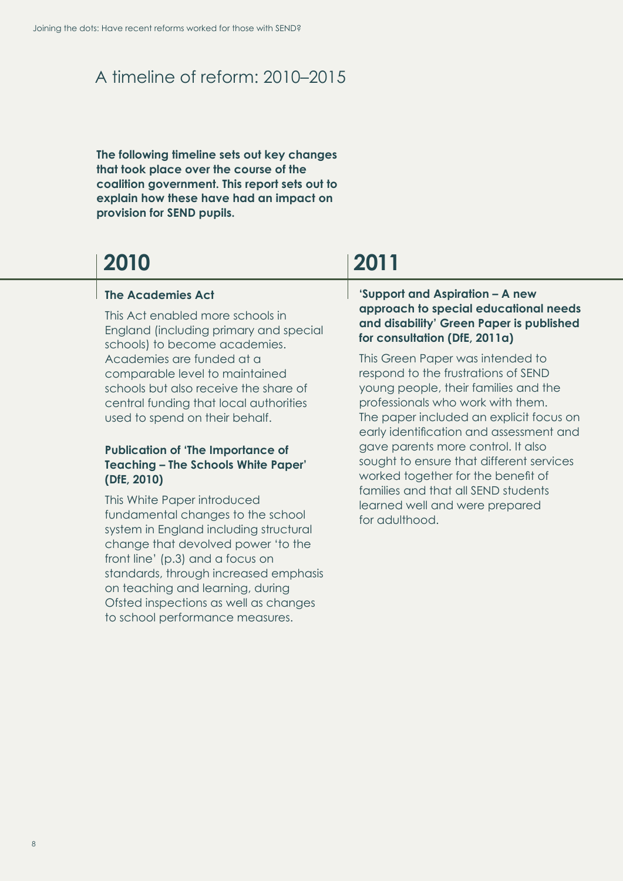### A timeline of reform: 2010–2015

**The following timeline sets out key changes that took place over the course of the coalition government. This report sets out to explain how these have had an impact on provision for SEND pupils.** 

## **2010 2011**

#### **The Academies Act**

This Act enabled more schools in England (including primary and special schools) to become academies. Academies are funded at a comparable level to maintained schools but also receive the share of central funding that local authorities used to spend on their behalf.

#### **Publication of 'The Importance of Teaching – The Schools White Paper' (DfE, 2010)**

This White Paper introduced fundamental changes to the school system in England including structural change that devolved power 'to the front line' (p.3) and a focus on standards, through increased emphasis on teaching and learning, during Ofsted inspections as well as changes to school performance measures.

#### **'Support and Aspiration – A new approach to special educational needs and disability' Green Paper is published for consultation (DfE, 2011a)**

This Green Paper was intended to respond to the frustrations of SEND young people, their families and the professionals who work with them. The paper included an explicit focus on early identification and assessment and gave parents more control. It also sought to ensure that different services worked together for the benefit of families and that all SEND students learned well and were prepared for adulthood.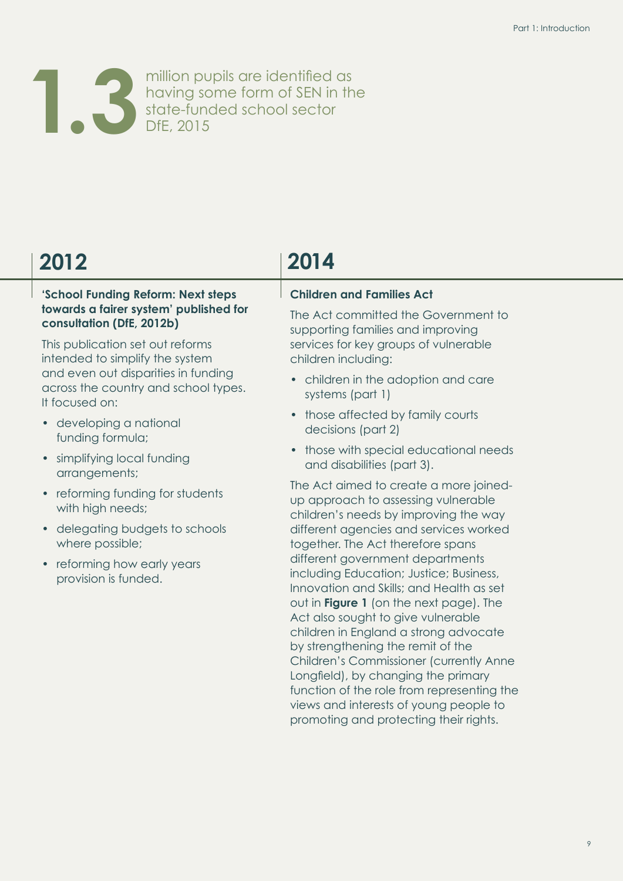

million pupils are identified as having some form of SEN in the state-funded school sector **1.3** DfE, 2015

#### **'School Funding Reform: Next steps towards a fairer system' published for consultation (DfE, 2012b)**

This publication set out reforms intended to simplify the system and even out disparities in funding across the country and school types. It focused on:

- developing a national funding formula;
- simplifying local funding arrangements;
- reforming funding for students with high needs;
- delegating budgets to schools where possible;
- reforming how early years provision is funded.

# **2012 2014**

#### **Children and Families Act**

The Act committed the Government to supporting families and improving services for key groups of vulnerable children including:

- children in the adoption and care systems (part 1)
- those affected by family courts decisions (part 2)
- those with special educational needs and disabilities (part 3).

The Act aimed to create a more joinedup approach to assessing vulnerable children's needs by improving the way different agencies and services worked together. The Act therefore spans different government departments including Education; Justice; Business, Innovation and Skills; and Health as set out in **[Figure 1](#page-12-0)** (on the next page). The Act also sought to give vulnerable children in England a strong advocate by strengthening the remit of the Children's Commissioner (currently Anne Longfield), by changing the primary function of the role from representing the views and interests of young people to promoting and protecting their rights.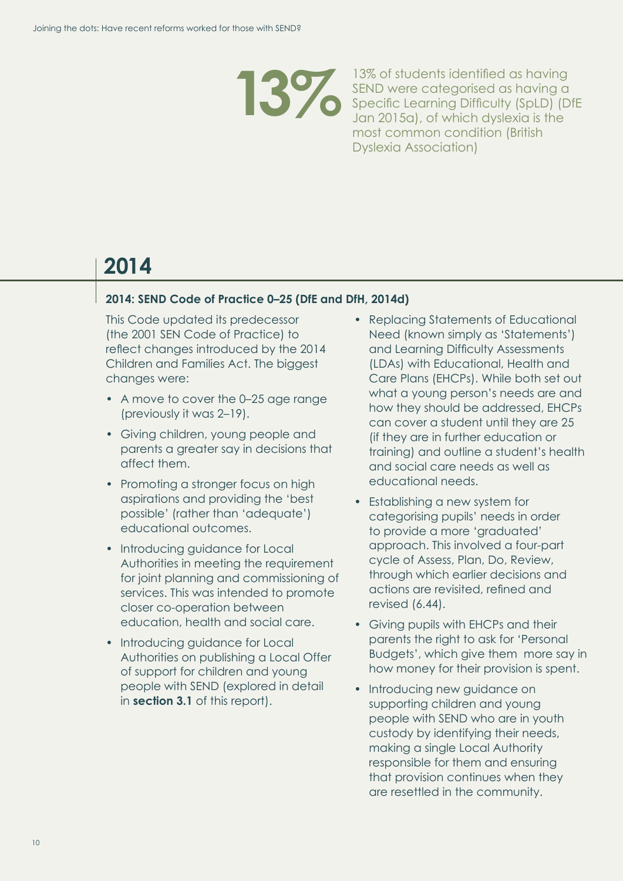

13% of students identified as having<br>SEND were categorised as having a<br>Specific Learning Difficulty (SpLD) (D SEND were categorised as having a Specific Learning Difficulty (SpLD) (DfE Jan 2015a), of which dyslexia is the most common condition (British Dyslexia Association)

# **2014**

#### **2014: SEND Code of Practice 0–25 (DfE and DfH, 2014d)**

This Code updated its predecessor (the 2001 SEN Code of Practice) to reflect changes introduced by the 2014 Children and Families Act. The biggest changes were:

- A move to cover the 0–25 age range (previously it was 2–19).
- Giving children, young people and parents a greater say in decisions that affect them.
- Promoting a stronger focus on high aspirations and providing the 'best possible' (rather than 'adequate') educational outcomes.
- Introducing guidance for Local Authorities in meeting the requirement for joint planning and commissioning of services. This was intended to promote closer co-operation between education, health and social care.
- Introducing guidance for Local Authorities on publishing a Local Offer of support for children and young people with SEND (explored in detail in **[section 3.1](#page-30-1)** of this report).
- Replacing Statements of Educational Need (known simply as 'Statements') and Learning Difficulty Assessments (LDAs) with Educational, Health and Care Plans (EHCPs). While both set out what a young person's needs are and how they should be addressed, EHCPs can cover a student until they are 25 (if they are in further education or training) and outline a student's health and social care needs as well as educational needs.
- Establishing a new system for categorising pupils' needs in order to provide a more 'graduated' approach. This involved a four-part cycle of Assess, Plan, Do, Review, through which earlier decisions and actions are revisited, refined and revised (6.44).
- Giving pupils with EHCPs and their parents the right to ask for 'Personal Budgets', which give them more say in how money for their provision is spent.
- Introducing new guidance on supporting children and young people with SEND who are in youth custody by identifying their needs, making a single Local Authority responsible for them and ensuring that provision continues when they are resettled in the community.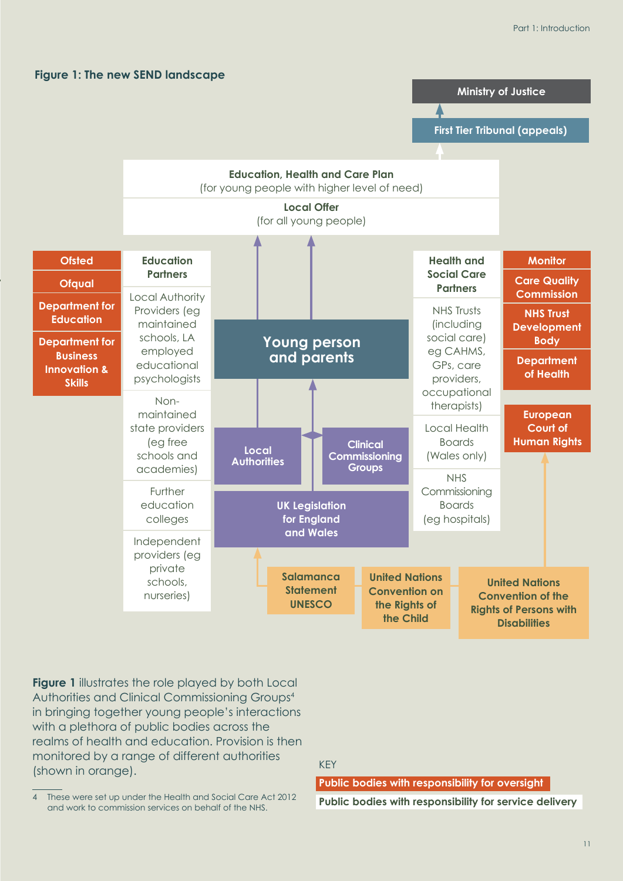<span id="page-12-0"></span>



**Figure 1** illustrates the role played by both Local Authorities and Clinical Commissioning Groups4 in bringing together young people's interactions with a plethora of public bodies across the realms of health and education. Provision is then monitored by a range of different authorities (shown in orange).

KEY

**Public bodies with responsibility for oversight**

4 These were set up under the Health and Social Care Act 2012 and work to commission services on behalf of the NHS.

#### **Public bodies with responsibility for service delivery**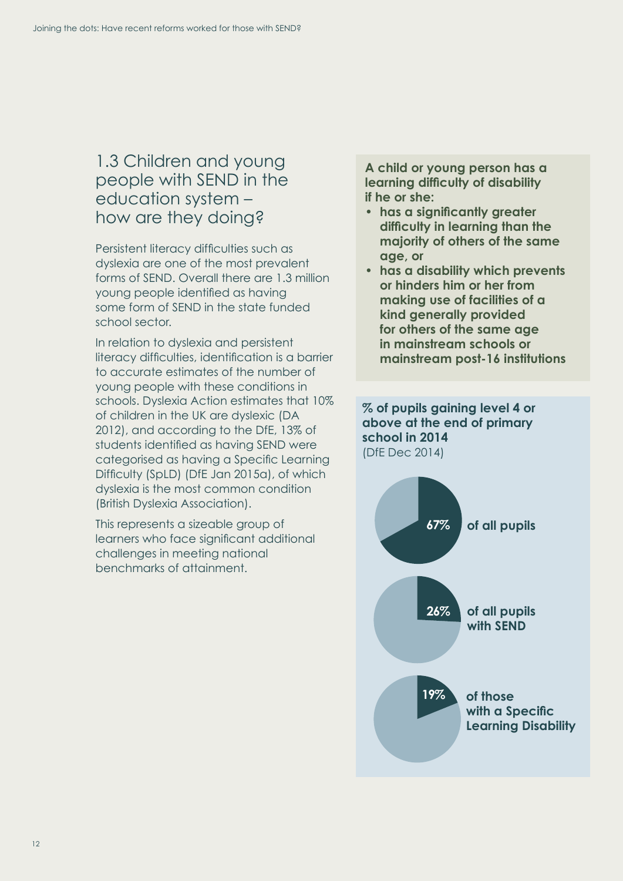### <span id="page-13-1"></span><span id="page-13-0"></span>1.3 Children and young people with SEND in the education system – how are they doing?

Persistent literacy difficulties such as dyslexia are one of the most prevalent forms of SEND. Overall there are 1.3 million young people identified as having some form of SEND in the state funded school sector.

In relation to dyslexia and persistent literacy difficulties, identification is a barrier to accurate estimates of the number of young people with these conditions in schools. Dyslexia Action estimates that 10% of children in the UK are dyslexic (DA 2012), and according to the DfE, 13% of students identified as having SEND were categorised as having a Specific Learning Difficulty (SpLD) (DfE Jan 2015a), of which dyslexia is the most common condition (British Dyslexia Association).

This represents a sizeable group of learners who face significant additional challenges in meeting national benchmarks of attainment.

**A child or young person has a learning difficulty of disability if he or she:** 

- **• has a significantly greater difficulty in learning than the majority of others of the same age, or**
- **has a disability which prevents or hinders him or her from making use of facilities of a kind generally provided for others of the same age in mainstream schools or mainstream post-16 institutions**

#### **% of pupils gaining level 4 or above at the end of primary school in 2014** (DfE Dec 2014)

**26% of all pupils with SEND 19% of those with a Specific Learning Disability 67% of all pupils**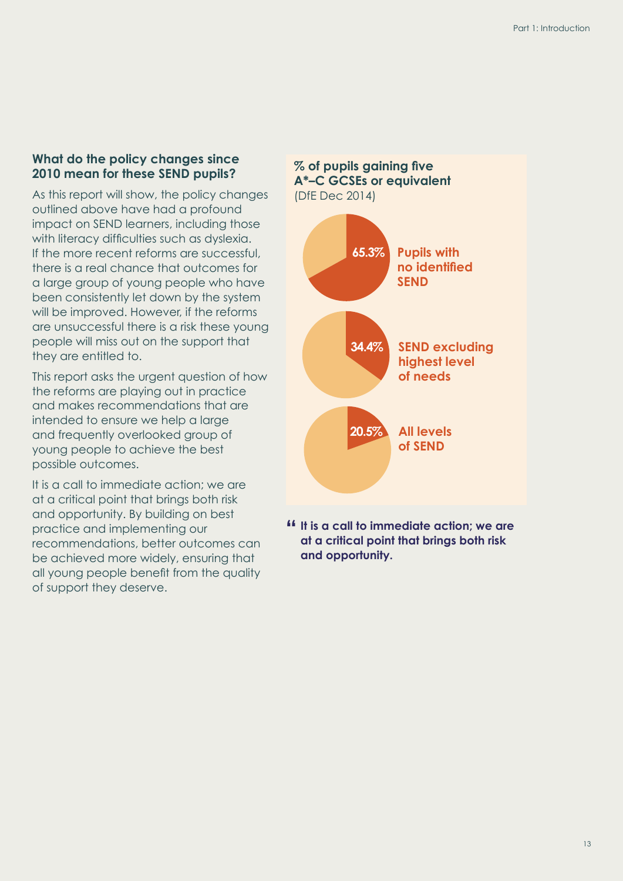#### **What do the policy changes since 2010 mean for these SEND pupils?**

As this report will show, the policy changes outlined above have had a profound impact on SEND learners, including those with literacy difficulties such as dyslexia. If the more recent reforms are successful, there is a real chance that outcomes for a large group of young people who have been consistently let down by the system will be improved. However, if the reforms are unsuccessful there is a risk these young people will miss out on the support that they are entitled to.

This report asks the urgent question of how the reforms are playing out in practice and makes recommendations that are intended to ensure we help a large and frequently overlooked group of young people to achieve the best possible outcomes.

It is a call to immediate action; we are at a critical point that brings both risk and opportunity. By building on best practice and implementing our recommendations, better outcomes can be achieved more widely, ensuring that all young people benefit from the quality of support they deserve.



**" It is a call to immediate action; we are at a critical point that brings both risk and opportunity.**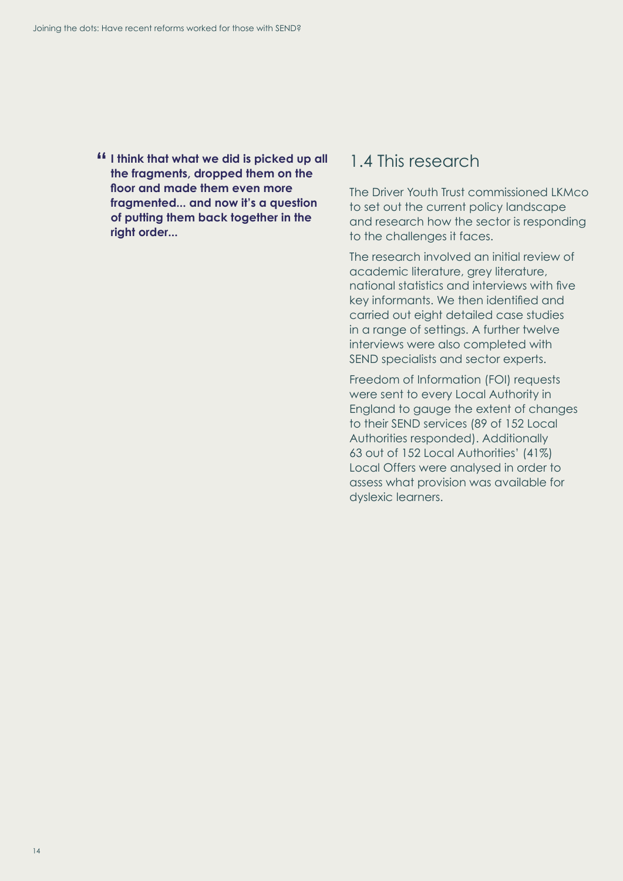**" I think that what we did is picked up all the fragments, dropped them on the floor and made them even more fragmented... and now it's a question of putting them back together in the right order...**

### <span id="page-15-0"></span>1.4 This research

The Driver Youth Trust commissioned LKMco to set out the current policy landscape and research how the sector is responding to the challenges it faces.

The research involved an initial review of academic literature, grey literature, national statistics and interviews with five key informants. We then identified and carried out eight detailed case studies in a range of settings. A further twelve interviews were also completed with SEND specialists and sector experts.

Freedom of Information (FOI) requests were sent to every Local Authority in England to gauge the extent of changes to their SEND services (89 of 152 Local Authorities responded). Additionally 63 out of 152 Local Authorities' (41%) Local Offers were analysed in order to assess what provision was available for dyslexic learners.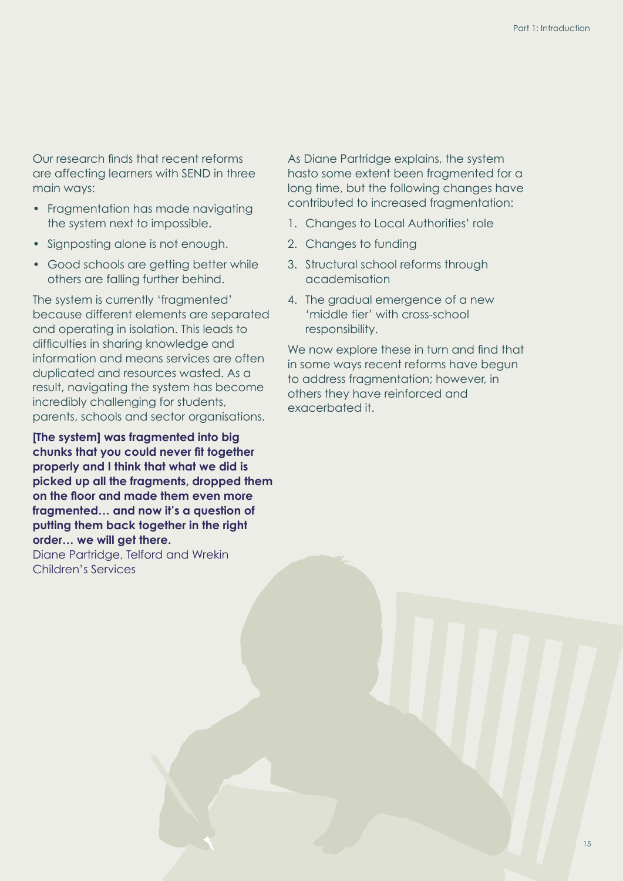Our research finds that recent reforms are affecting learners with SEND in three main ways:

- Fragmentation has made navigating the system next to impossible.
- Signposting alone is not enough.
- Good schools are getting better while others are falling further behind.

The system is currently 'fragmented' because different elements are separated and operating in isolation. This leads to difficulties in sharing knowledge and information and means services are often duplicated and resources wasted. As a result, navigating the system has become incredibly challenging for students, parents, schools and sector organisations.

**[The system] was fragmented into big chunks that you could never fit together properly and I think that what we did is picked up all the fragments, dropped them on the floor and made them even more fragmented… and now it's a question of putting them back together in the right order… we will get there.** Diane Partridge, Telford and Wrekin Children's Services

As Diane Partridge explains, the system hasto some extent been fragmented for a long time, but the following changes have contributed to increased fragmentation:

- 1. Changes to Local Authorities' role
- 2. Changes to funding
- 3. Structural school reforms through academisation
- 4. The gradual emergence of a new 'middle tier' with cross-school responsibility.

We now explore these in turn and find that in some ways recent reforms have begun to address fragmentation; however, in others they have reinforced and exacerbated it.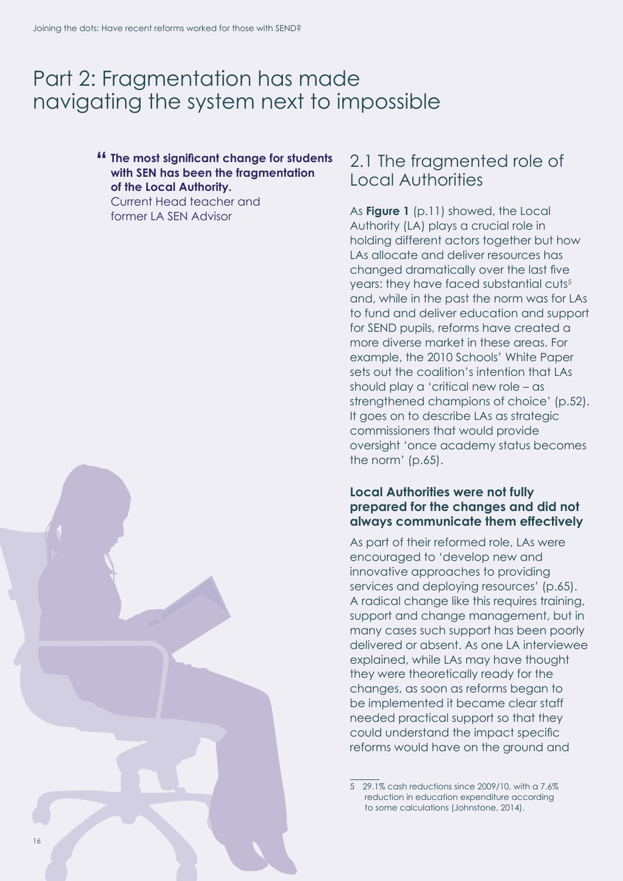## <span id="page-17-0"></span>Part 2: Fragmentation has made navigating the system next to impossible

#### **" The most significant change for students with SEN has been the fragmentation of the Local Authority.**

Current Head teacher and former LA SEN Advisor

### <span id="page-17-1"></span>2.1 The fragmented role of Local Authorities

As **[Figure 1](#page-12-0)** (p.11) showed, the Local Authority (LA) plays a crucial role in holding different actors together but how LAs allocate and deliver resources has changed dramatically over the last five years: they have faced substantial cuts<sup>5</sup> and, while in the past the norm was for LAs to fund and deliver education and support for SEND pupils, reforms have created a more diverse market in these areas. For example, the 2010 Schools' White Paper sets out the coalition's intention that LAs should play a 'critical new role – as strengthened champions of choice' (p.52). It goes on to describe LAs as strategic commissioners that would provide oversight 'once academy status becomes the norm' (p.65).

#### **Local Authorities were not fully prepared for the changes and did not always communicate them effectively**

As part of their reformed role, LAs were encouraged to 'develop new and innovative approaches to providing services and deploying resources' (p.65). A radical change like this requires training, support and change management, but in many cases such support has been poorly delivered or absent. As one LA interviewee explained, while LAs may have thought they were theoretically ready for the changes, as soon as reforms began to be implemented it became clear staff needed practical support so that they could understand the impact specific reforms would have on the ground and

5 29.1% cash reductions since 2009/10, with a 7.6% reduction in education expenditure according to some calculations (Johnstone, 2014).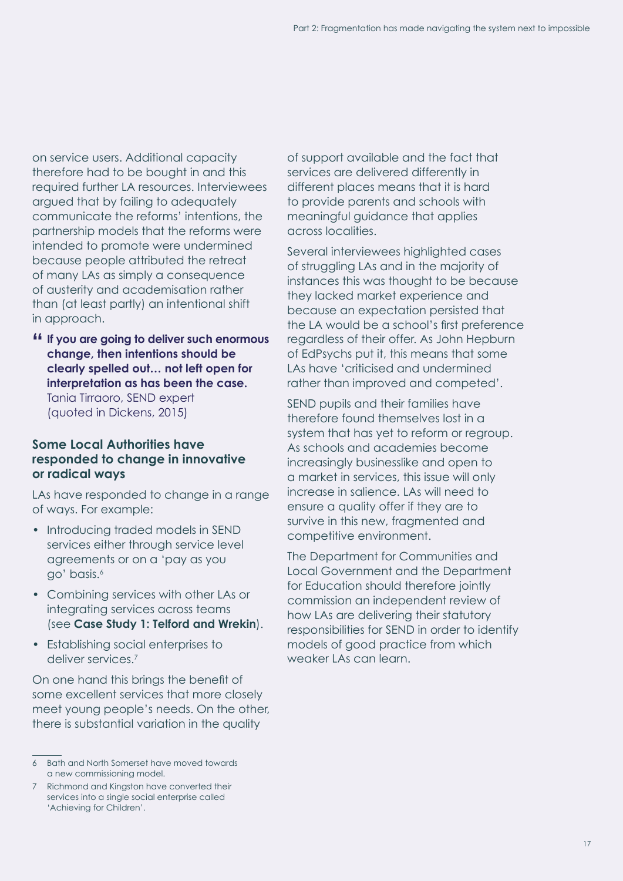on service users. Additional capacity therefore had to be bought in and this required further LA resources. Interviewees argued that by failing to adequately communicate the reforms' intentions, the partnership models that the reforms were intended to promote were undermined because people attributed the retreat of many LAs as simply a consequence of austerity and academisation rather than (at least partly) an intentional shift in approach.

**" If you are going to deliver such enormous change, then intentions should be clearly spelled out… not left open for interpretation as has been the case.** Tania Tirraoro, SEND expert (quoted in Dickens, 2015)

#### **Some Local Authorities have responded to change in innovative or radical ways**

LAs have responded to change in a range of ways. For example:

- Introducing traded models in SEND services either through service level agreements or on a 'pay as you go' basis.6
- Combining services with other LAs or integrating services across teams (see **[Case Study 1: Telford and Wrekin](#page-19-0)**).
- Establishing social enterprises to deliver services.7

On one hand this brings the benefit of some excellent services that more closely meet young people's needs. On the other, there is substantial variation in the quality

of support available and the fact that services are delivered differently in different places means that it is hard to provide parents and schools with meaningful guidance that applies across localities.

Several interviewees highlighted cases of struggling LAs and in the majority of instances this was thought to be because they lacked market experience and because an expectation persisted that the LA would be a school's first preference regardless of their offer. As John Hepburn of EdPsychs put it, this means that some LAs have 'criticised and undermined rather than improved and competed'.

SEND pupils and their families have therefore found themselves lost in a system that has yet to reform or regroup. As schools and academies become increasingly businesslike and open to a market in services, this issue will only increase in salience. LAs will need to ensure a quality offer if they are to survive in this new, fragmented and competitive environment.

The Department for Communities and Local Government and the Department for Education should therefore jointly commission an independent review of how LAs are delivering their statutory responsibilities for SEND in order to identify models of good practice from which weaker LAs can learn.

<sup>6</sup> Bath and North Somerset have moved towards a new commissioning model.

Richmond and Kingston have converted their services into a single social enterprise called 'Achieving for Children'.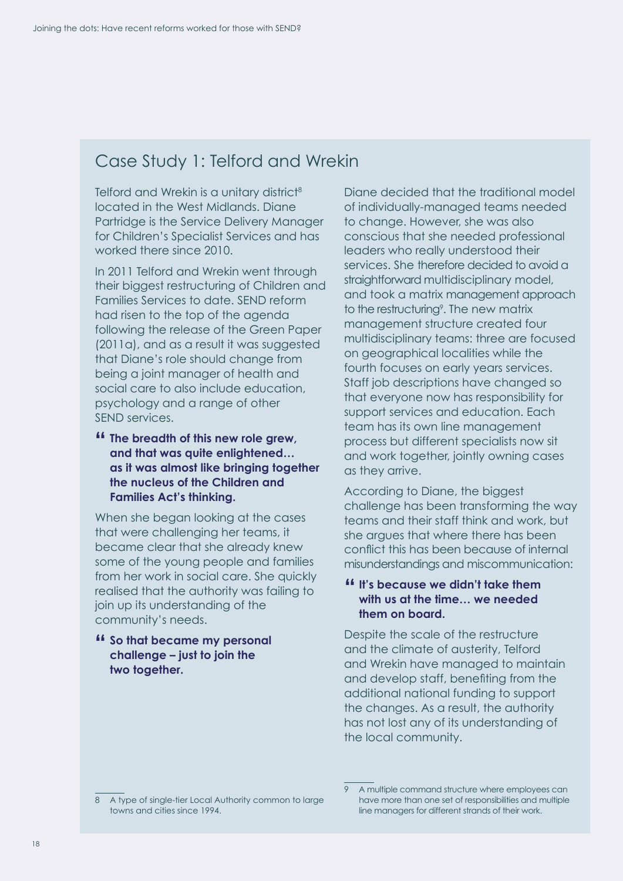## <span id="page-19-0"></span>Case Study 1: Telford and Wrekin

Telford and Wrekin is a unitary district<sup>8</sup> located in the West Midlands. Diane Partridge is the Service Delivery Manager for Children's Specialist Services and has worked there since 2010.

In 2011 Telford and Wrekin went through their biggest restructuring of Children and Families Services to date. SEND reform had risen to the top of the agenda following the release of the Green Paper (2011a), and as a result it was suggested that Diane's role should change from being a joint manager of health and social care to also include education, psychology and a range of other SEND services.

**" The breadth of this new role grew, and that was quite enlightened… as it was almost like bringing together the nucleus of the Children and Families Act's thinking.**

When she began looking at the cases that were challenging her teams, it became clear that she already knew some of the young people and families from her work in social care. She quickly realised that the authority was failing to join up its understanding of the community's needs.

**" So that became my personal challenge – just to join the two together.**

Diane decided that the traditional model of individually-managed teams needed to change. However, she was also conscious that she needed professional leaders who really understood their services. She therefore decided to avoid a straightforward multidisciplinary model, and took a matrix management approach to the restructuring<sup>9</sup>. The new matrix management structure created four multidisciplinary teams: three are focused on geographical localities while the fourth focuses on early years services. Staff job descriptions have changed so that everyone now has responsibility for support services and education. Each team has its own line management process but different specialists now sit and work together, jointly owning cases as they arrive.

According to Diane, the biggest challenge has been transforming the way teams and their staff think and work, but she argues that where there has been conflict this has been because of internal misunderstandings and miscommunication:

#### **" It's because we didn't take them with us at the time… we needed them on board.**

Despite the scale of the restructure and the climate of austerity, Telford and Wrekin have managed to maintain and develop staff, benefiting from the additional national funding to support the changes. As a result, the authority has not lost any of its understanding of the local community.

<sup>8</sup> A type of single-tier Local Authority common to large towns and cities since 1994.

<sup>9</sup> A multiple command structure where employees can have more than one set of responsibilities and multiple line managers for different strands of their work.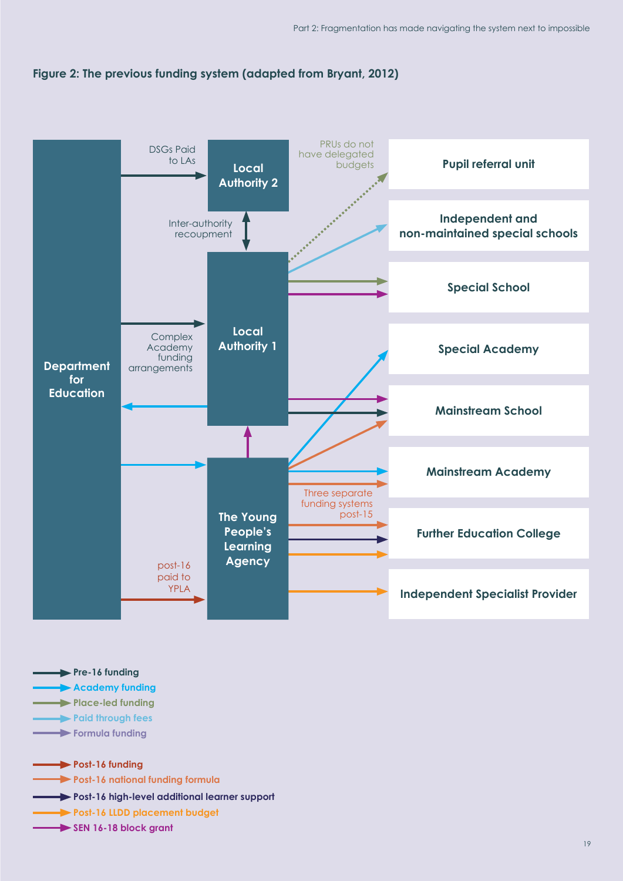<span id="page-20-0"></span>



| $\rightharpoonup$ Pre-16 funding                              |
|---------------------------------------------------------------|
| Academy funding                                               |
| Place-led funding                                             |
| <b>No. 2016</b> Paid through fees                             |
| Formula funding                                               |
|                                                               |
| Post-16 funding                                               |
| <b>Example 16 Post-16 national funding formula</b>            |
| <b>Solution</b> Post-16 high-level additional learner support |
| Post-16 LLDD placement budget                                 |
| $\longrightarrow$ SEN 16-18 block grant                       |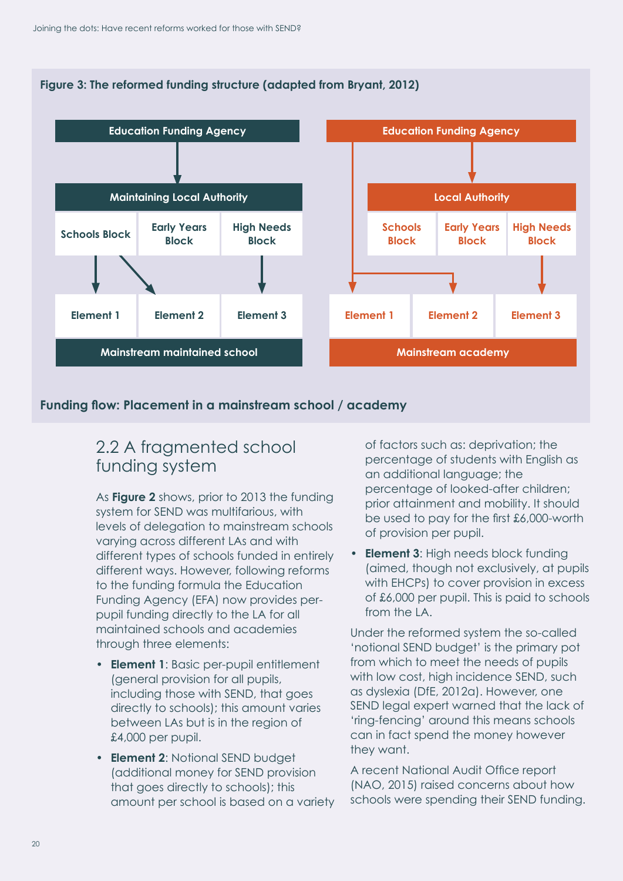<span id="page-21-1"></span>



#### **Funding flow: Placement in a mainstream school / academy**

### <span id="page-21-0"></span>2.2 A fragmented school funding system

As **[Figure 2](#page-20-0)** shows, prior to 2013 the funding system for SEND was multifarious, with levels of delegation to mainstream schools varying across different LAs and with different types of schools funded in entirely different ways. However, following reforms to the funding formula the Education Funding Agency (EFA) now provides perpupil funding directly to the LA for all maintained schools and academies through three elements:

- **Element 1**: Basic per-pupil entitlement (general provision for all pupils, including those with SEND, that goes directly to schools); this amount varies between LAs but is in the region of £4,000 per pupil.
- **Element 2**: Notional SEND budget (additional money for SEND provision that goes directly to schools); this amount per school is based on a variety

of factors such as: deprivation; the percentage of students with English as an additional language; the percentage of looked-after children; prior attainment and mobility. It should be used to pay for the first £6,000-worth of provision per pupil.

• **Element 3**: High needs block funding (aimed, though not exclusively, at pupils with EHCPs) to cover provision in excess of £6,000 per pupil. This is paid to schools from the LA.

Under the reformed system the so-called 'notional SEND budget' is the primary pot from which to meet the needs of pupils with low cost, high incidence SEND, such as dyslexia (DfE, 2012a). However, one SEND legal expert warned that the lack of 'ring-fencing' around this means schools can in fact spend the money however they want.

A recent National Audit Office report (NAO, 2015) raised concerns about how schools were spending their SEND funding.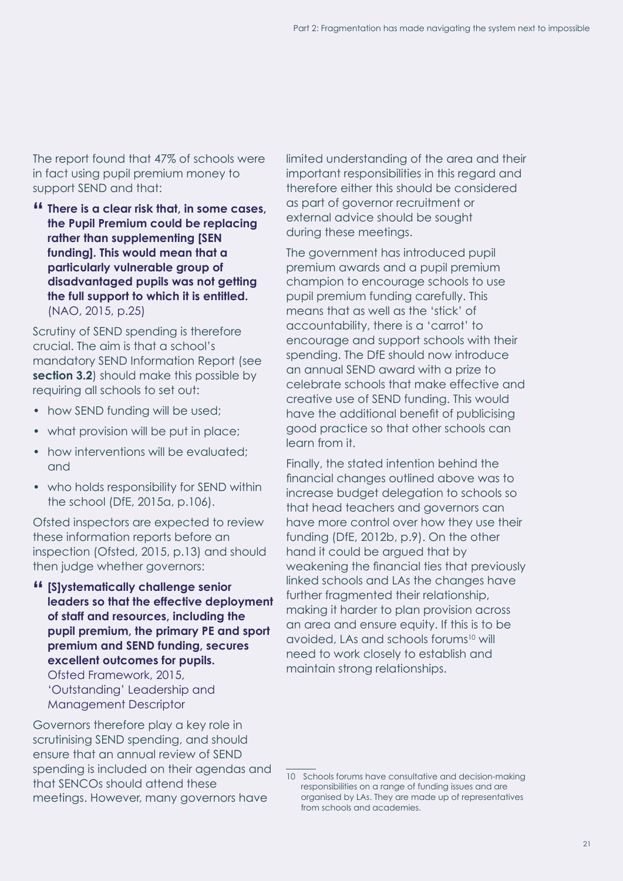The report found that 47% of schools were in fact using pupil premium money to support SEND and that:

**" There is a clear risk that, in some cases, the Pupil Premium could be replacing rather than supplementing [SEN funding]. This would mean that a particularly vulnerable group of disadvantaged pupils was not getting the full support to which it is entitled.** (NAO, 2015, p.25)

Scrutiny of SEND spending is therefore crucial. The aim is that a school's mandatory SEND Information Report (see **[section 3.2](#page-31-1)**) should make this possible by requiring all schools to set out:

- how SEND funding will be used;
- what provision will be put in place;
- how interventions will be evaluated; and
- who holds responsibility for SEND within the school (DfE, 2015a, p.106).

Ofsted inspectors are expected to review these information reports before an inspection (Ofsted, 2015, p.13) and should then judge whether governors:

**" [S]ystematically challenge senior leaders so that the effective deployment of staff and resources, including the pupil premium, the primary PE and sport premium and SEND funding, secures excellent outcomes for pupils.**  Ofsted Framework, 2015, 'Outstanding' Leadership and Management Descriptor

Governors therefore play a key role in scrutinising SEND spending, and should ensure that an annual review of SEND spending is included on their agendas and that SENCOs should attend these meetings. However, many governors have

limited understanding of the area and their important responsibilities in this regard and therefore either this should be considered as part of governor recruitment or external advice should be sought during these meetings.

The government has introduced pupil premium awards and a pupil premium champion to encourage schools to use pupil premium funding carefully. This means that as well as the 'stick' of accountability, there is a 'carrot' to encourage and support schools with their spending. The DfE should now introduce an annual SEND award with a prize to celebrate schools that make effective and creative use of SEND funding. This would have the additional benefit of publicising good practice so that other schools can learn from it.

Finally, the stated intention behind the financial changes outlined above was to increase budget delegation to schools so that head teachers and governors can have more control over how they use their funding (DfE, 2012b, p.9). On the other hand it could be argued that by weakening the financial ties that previously linked schools and LAs the changes have further fraamented their relationship, making it harder to plan provision across an area and ensure equity. If this is to be avoided, LAs and schools forums<sup>10</sup> will need to work closely to establish and maintain strong relationships.

<sup>10</sup> Schools forums have consultative and decision-making responsibilities on a range of funding issues and are organised by LAs. They are made up of representatives from schools and academies.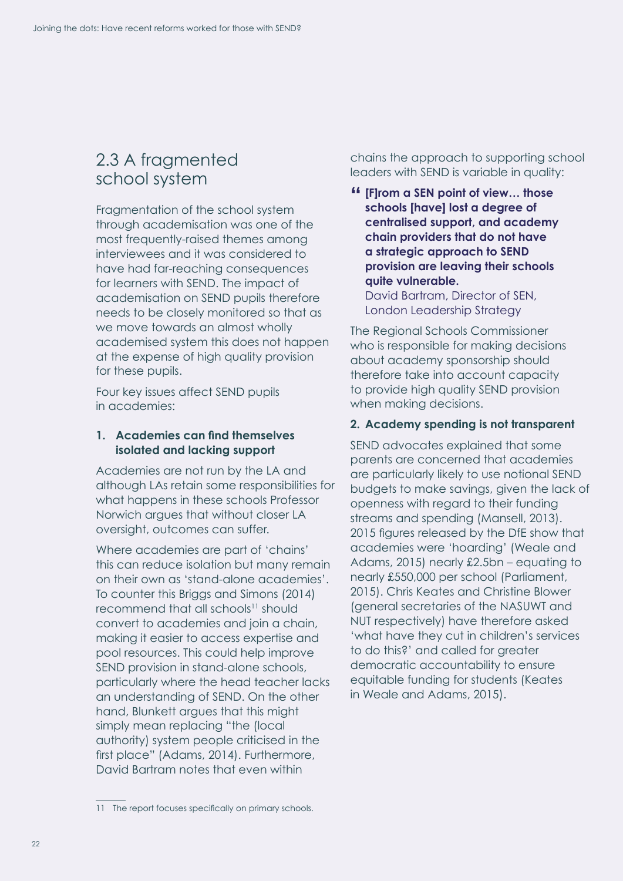### <span id="page-23-0"></span>2.3 A fragmented school system

Fragmentation of the school system through academisation was one of the most frequently-raised themes among interviewees and it was considered to have had far-reaching consequences for learners with SEND. The impact of academisation on SEND pupils therefore needs to be closely monitored so that as we move towards an almost wholly academised system this does not happen at the expense of high quality provision for these pupils.

Four key issues affect SEND pupils in academies:

#### **1. Academies can find themselves isolated and lacking support**

Academies are not run by the LA and although LAs retain some responsibilities for what happens in these schools Professor Norwich argues that without closer LA oversight, outcomes can suffer.

Where academies are part of 'chains' this can reduce isolation but many remain on their own as 'stand-alone academies'. To counter this Briggs and Simons (2014) recommend that all schools<sup>11</sup> should convert to academies and join a chain, making it easier to access expertise and pool resources. This could help improve SEND provision in stand-alone schools, particularly where the head teacher lacks an understanding of SEND. On the other hand, Blunkett argues that this might simply mean replacing "the (local authority) system people criticised in the first place" (Adams, 2014). Furthermore, David Bartram notes that even within

chains the approach to supporting school leaders with SEND is variable in quality:

**" [F]rom a SEN point of view… those schools [have] lost a degree of centralised support, and academy chain providers that do not have a strategic approach to SEND provision are leaving their schools quite vulnerable.**

David Bartram, Director of SEN, London Leadership Strategy

The Regional Schools Commissioner who is responsible for making decisions about academy sponsorship should therefore take into account capacity to provide high quality SEND provision when making decisions.

#### **2. Academy spending is not transparent**

SEND advocates explained that some parents are concerned that academies are particularly likely to use notional SEND budgets to make savings, given the lack of openness with regard to their funding streams and spending (Mansell, 2013). 2015 figures released by the DfE show that academies were 'hoarding' (Weale and Adams, 2015) nearly £2.5bn – equating to nearly £550,000 per school (Parliament, 2015). Chris Keates and Christine Blower (general secretaries of the NASUWT and NUT respectively) have therefore asked 'what have they cut in children's services to do this?' and called for greater democratic accountability to ensure equitable funding for students (Keates in Weale and Adams, 2015).

<sup>11</sup> The report focuses specifically on primary schools.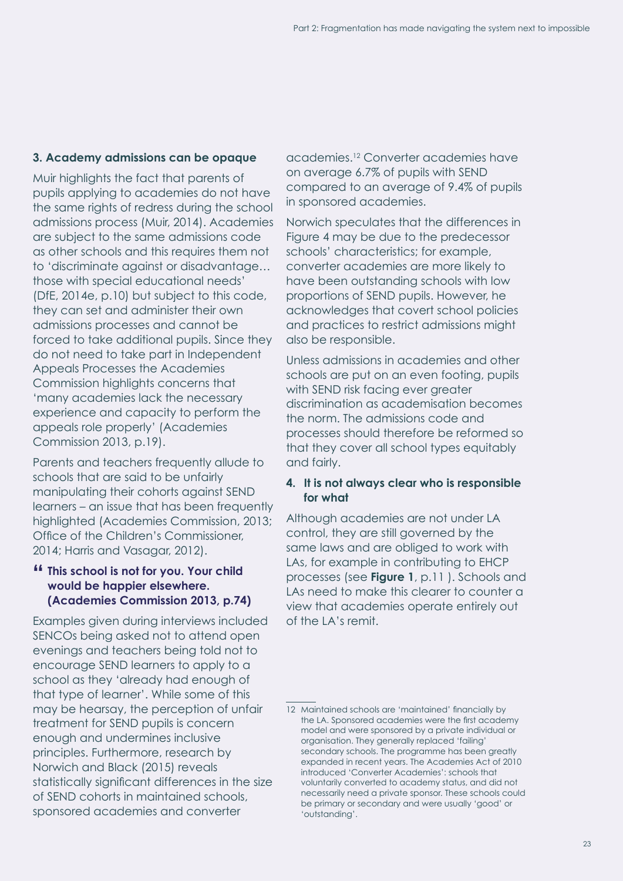#### **3. Academy admissions can be opaque**

Muir highlights the fact that parents of pupils applying to academies do not have the same rights of redress during the school admissions process (Muir, 2014). Academies are subject to the same admissions code as other schools and this requires them not to 'discriminate against or disadvantage… those with special educational needs' (DfE, 2014e, p.10) but subject to this code, they can set and administer their own admissions processes and cannot be forced to take additional pupils. Since they do not need to take part in Independent Appeals Processes the Academies Commission highlights concerns that 'many academies lack the necessary experience and capacity to perform the appeals role properly' (Academies Commission 2013, p.19).

Parents and teachers frequently allude to schools that are said to be unfairly manipulating their cohorts against SEND learners – an issue that has been frequently highlighted (Academies Commission, 2013; Office of the Children's Commissioner, 2014; Harris and Vasagar, 2012).

**" This school is not for you. Your child would be happier elsewhere. (Academies Commission 2013, p.74)**

Examples given during interviews included SENCOs being asked not to attend open evenings and teachers being told not to encourage SEND learners to apply to a school as they 'already had enough of that type of learner'. While some of this may be hearsay, the perception of unfair treatment for SEND pupils is concern enough and undermines inclusive principles. Furthermore, research by Norwich and Black (2015) reveals statistically significant differences in the size of SEND cohorts in maintained schools, sponsored academies and converter

academies.12 Converter academies have on average 6.7% of pupils with SEND compared to an average of 9.4% of pupils in sponsored academies.

Norwich speculates that the differences in [Figure 4](#page-25-1) may be due to the predecessor schools' characteristics; for example, converter academies are more likely to have been outstanding schools with low proportions of SEND pupils. However, he acknowledges that covert school policies and practices to restrict admissions might also be responsible.

Unless admissions in academies and other schools are put on an even footing, pupils with SEND risk facing ever greater discrimination as academisation becomes the norm. The admissions code and processes should therefore be reformed so that they cover all school types equitably and fairly.

#### **4. It is not always clear who is responsible for what**

Although academies are not under LA control, they are still governed by the same laws and are obliged to work with LAs, for example in contributing to EHCP processes (see **[Figure 1](#page-12-0)**, p.11 ). Schools and LAs need to make this clearer to counter a view that academies operate entirely out of the LA's remit.

<sup>12</sup> Maintained schools are 'maintained' financially by the LA. Sponsored academies were the first academy model and were sponsored by a private individual or organisation. They generally replaced 'failing' secondary schools. The programme has been greatly expanded in recent years. The Academies Act of 2010 introduced 'Converter Academies': schools that voluntarily converted to academy status, and did not necessarily need a private sponsor. These schools could be primary or secondary and were usually 'good' or 'outstanding'.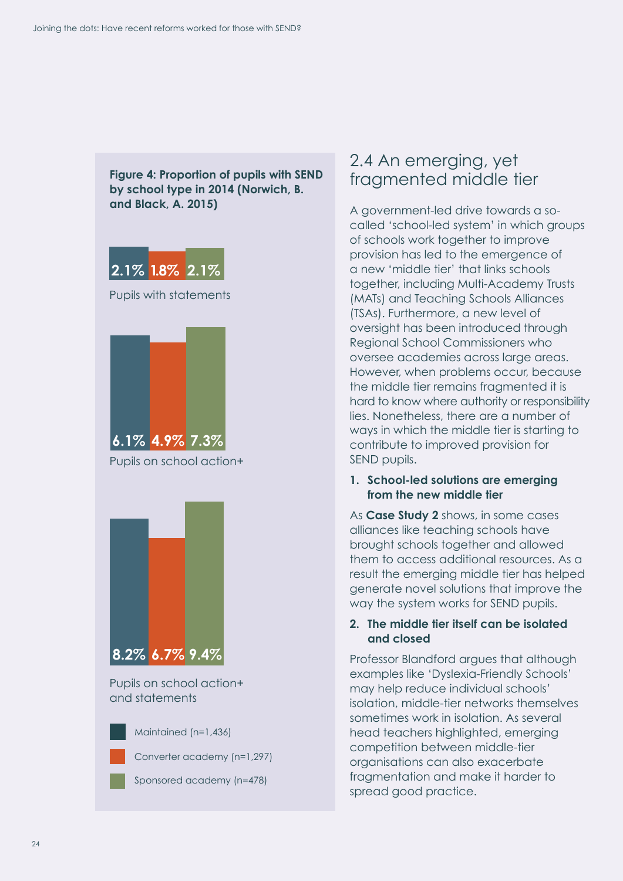<span id="page-25-1"></span>

### <span id="page-25-0"></span>2.4 An emerging, yet fragmented middle tier

A government-led drive towards a socalled 'school-led system' in which groups of schools work together to improve provision has led to the emergence of a new 'middle tier' that links schools together, including Multi-Academy Trusts (MATs) and Teaching Schools Alliances (TSAs). Furthermore, a new level of oversight has been introduced through Regional School Commissioners who oversee academies across large areas. However, when problems occur, because the middle tier remains fragmented it is hard to know where authority or responsibility lies. Nonetheless, there are a number of ways in which the middle tier is starting to contribute to improved provision for SEND pupils.

#### **1. School-led solutions are emerging from the new middle tier**

As **[Case Study 2](#page-27-0)** shows, in some cases alliances like teaching schools have brought schools together and allowed them to access additional resources. As a result the emerging middle tier has helped generate novel solutions that improve the way the system works for SEND pupils.

#### **2. The middle tier itself can be isolated and closed**

Professor Blandford argues that although examples like 'Dyslexia-Friendly Schools' may help reduce individual schools' isolation, middle-tier networks themselves sometimes work in isolation. As several head teachers highlighted, emerging competition between middle-tier organisations can also exacerbate fragmentation and make it harder to spread good practice.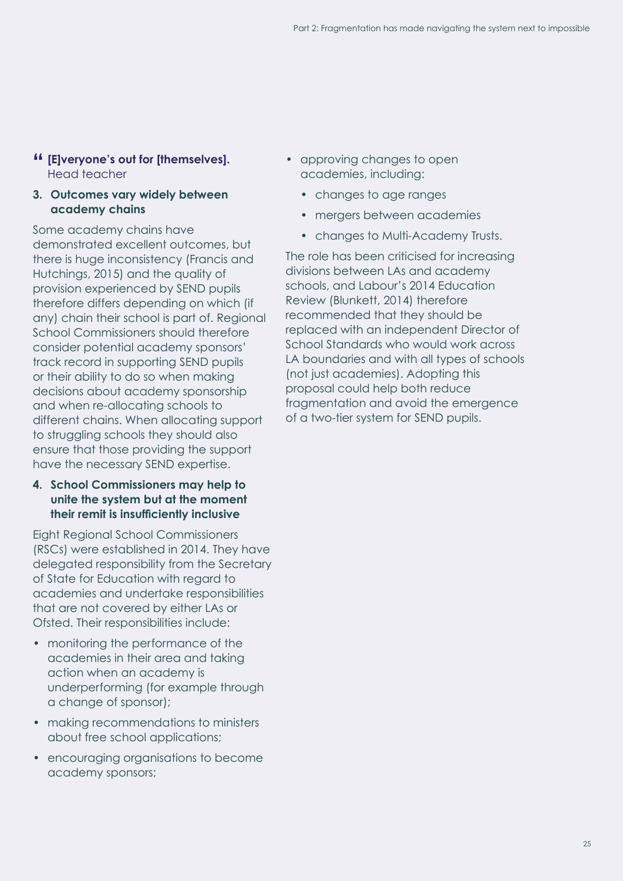#### **" [E]veryone's out for [themselves].**  Head teacher

#### **3. Outcomes vary widely between academy chains**

Some academy chains have demonstrated excellent outcomes, but there is huge inconsistency (Francis and Hutchings, 2015) and the quality of provision experienced by SEND pupils therefore differs depending on which (if any) chain their school is part of. Regional School Commissioners should therefore consider potential academy sponsors' track record in supporting SEND pupils or their ability to do so when making decisions about academy sponsorship and when re-allocating schools to different chains. When allocating support to struggling schools they should also ensure that those providing the support have the necessary SEND expertise.

#### **4. School Commissioners may help to unite the system but at the moment their remit is insufficiently inclusive**

Eight Regional School Commissioners (RSCs) were established in 2014. They have delegated responsibility from the Secretary of State for Education with regard to academies and undertake responsibilities that are not covered by either LAs or Ofsted. Their responsibilities include:

- monitoring the performance of the academies in their area and taking action when an academy is underperforming (for example through a change of sponsor);
- making recommendations to ministers about free school applications;
- encouraging organisations to become academy sponsors;
- approving changes to open academies, including:
	- changes to age ranges
	- mergers between academies
	- changes to Multi-Academy Trusts.

The role has been criticised for increasing divisions between LAs and academy schools, and Labour's 2014 Education Review (Blunkett, 2014) therefore recommended that they should be replaced with an independent Director of School Standards who would work across LA boundaries and with all types of schools (not just academies). Adopting this proposal could help both reduce fragmentation and avoid the emergence of a two-tier system for SEND pupils.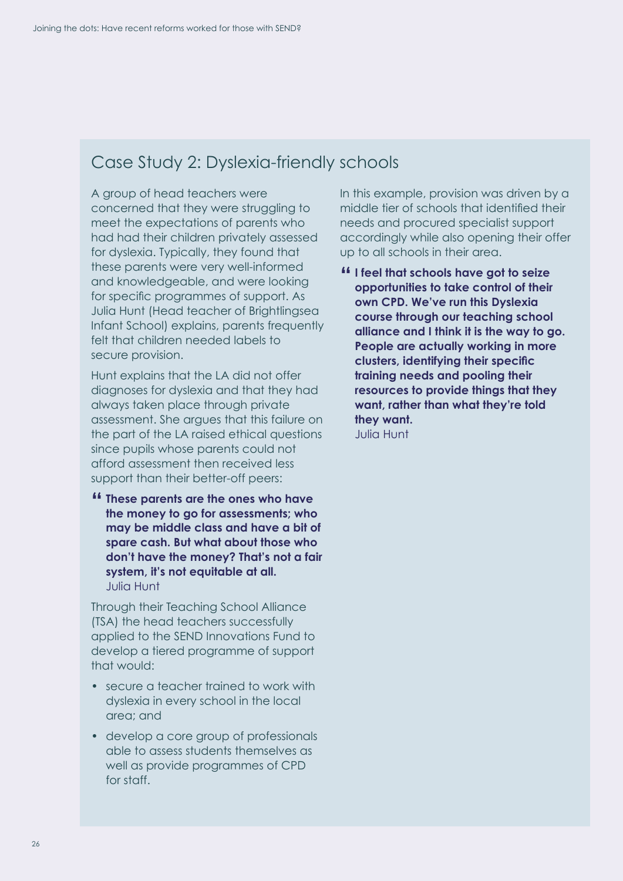### <span id="page-27-0"></span>Case Study 2: Dyslexia-friendly schools

A group of head teachers were concerned that they were struggling to meet the expectations of parents who had had their children privately assessed for dyslexia. Typically, they found that these parents were very well-informed and knowledgeable, and were looking for specific programmes of support. As Julia Hunt (Head teacher of Brightlingsea Infant School) explains, parents frequently felt that children needed labels to secure provision.

Hunt explains that the LA did not offer diagnoses for dyslexia and that they had always taken place through private assessment. She argues that this failure on the part of the LA raised ethical questions since pupils whose parents could not afford assessment then received less support than their better-off peers:

**" These parents are the ones who have the money to go for assessments; who may be middle class and have a bit of spare cash. But what about those who don't have the money? That's not a fair system, it's not equitable at all.** Julia Hunt

Through their Teaching School Alliance (TSA) the head teachers successfully applied to the SEND Innovations Fund to develop a tiered programme of support that would:

- secure a teacher trained to work with dyslexia in every school in the local area; and
- develop a core group of professionals able to assess students themselves as well as provide programmes of CPD for staff.

In this example, provision was driven by a middle tier of schools that identified their needs and procured specialist support accordingly while also opening their offer up to all schools in their area.

**" I feel that schools have got to seize opportunities to take control of their own CPD. We've run this Dyslexia course through our teaching school alliance and I think it is the way to go. People are actually working in more clusters, identifying their specific training needs and pooling their resources to provide things that they want, rather than what they're told they want.** Julia Hunt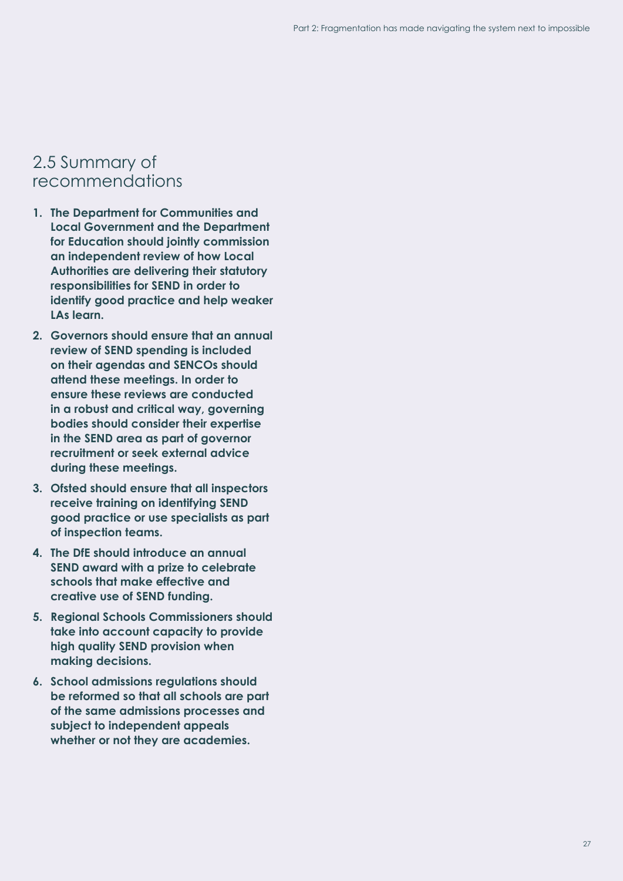### <span id="page-28-0"></span>2.5 Summary of recommendations

- **1. The Department for Communities and Local Government and the Department for Education should jointly commission an independent review of how Local Authorities are delivering their statutory responsibilities for SEND in order to identify good practice and help weaker LAs learn.**
- **2. Governors should ensure that an annual review of SEND spending is included on their agendas and SENCOs should attend these meetings. In order to ensure these reviews are conducted in a robust and critical way, governing bodies should consider their expertise in the SEND area as part of governor recruitment or seek external advice during these meetings.**
- **3. Ofsted should ensure that all inspectors receive training on identifying SEND good practice or use specialists as part of inspection teams.**
- **4. The DfE should introduce an annual SEND award with a prize to celebrate schools that make effective and creative use of SEND funding.**
- **5. Regional Schools Commissioners should take into account capacity to provide high quality SEND provision when making decisions.**
- **6. School admissions regulations should be reformed so that all schools are part of the same admissions processes and subject to independent appeals whether or not they are academies.**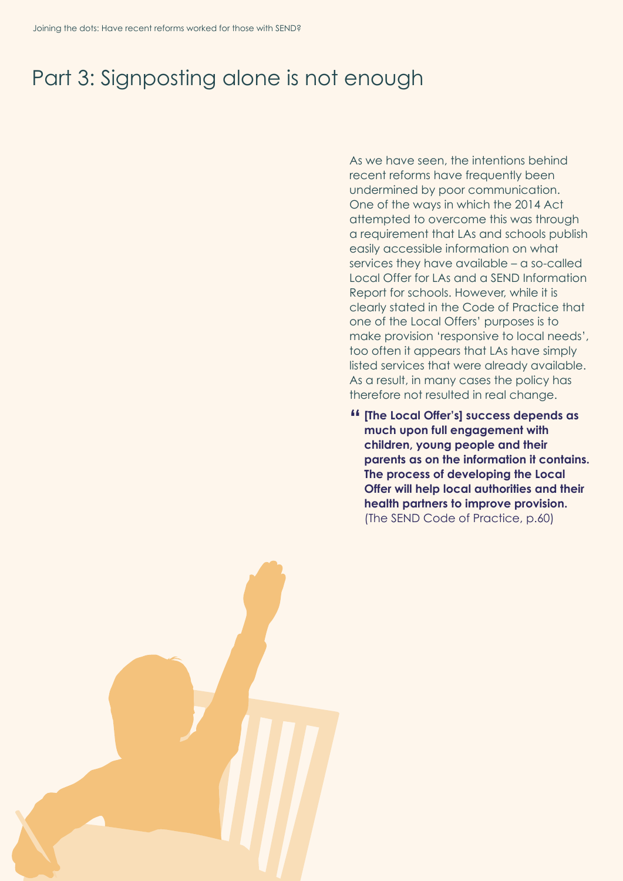## <span id="page-29-0"></span>Part 3: Signposting alone is not enough

As we have seen, the intentions behind recent reforms have frequently been undermined by poor communication. One of the ways in which the 2014 Act attempted to overcome this was through a requirement that LAs and schools publish easily accessible information on what services they have available – a so-called Local Offer for LAs and a SEND Information Report for schools. However, while it is clearly stated in the Code of Practice that one of the Local Offers' purposes is to make provision 'responsive to local needs', too often it appears that LAs have simply listed services that were already available. As a result, in many cases the policy has therefore not resulted in real change.

**" [The Local Offer's] success depends as much upon full engagement with children, young people and their parents as on the information it contains. The process of developing the Local Offer will help local authorities and their health partners to improve provision.**  (The SEND Code of Practice, p.60)

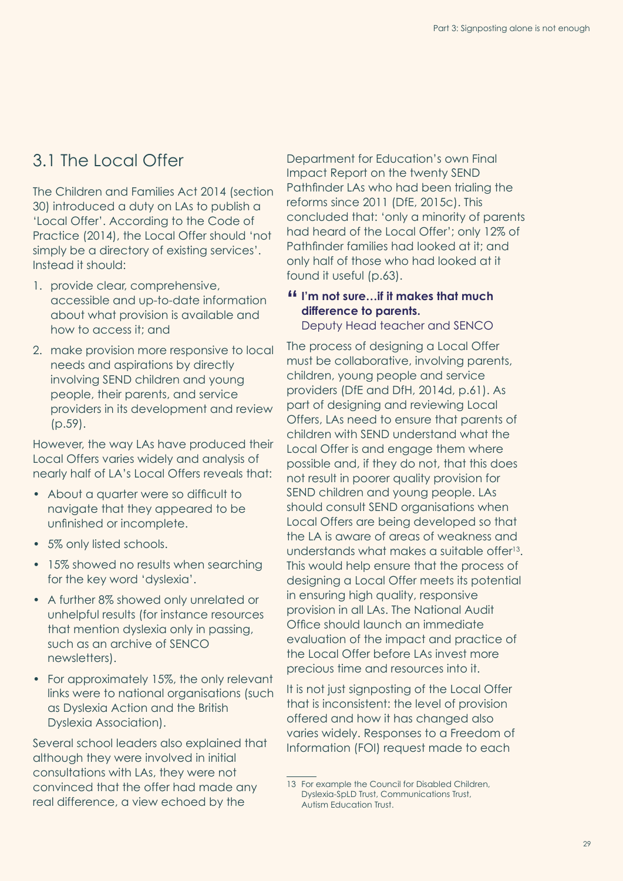## <span id="page-30-1"></span><span id="page-30-0"></span>3.1 The Local Offer

The Children and Families Act 2014 (section 30) introduced a duty on LAs to publish a 'Local Offer'. According to the Code of Practice (2014), the Local Offer should 'not simply be a directory of existing services'. Instead it should:

- 1. provide clear, comprehensive, accessible and up-to-date information about what provision is available and how to access it; and
- 2. make provision more responsive to local needs and aspirations by directly involving SEND children and young people, their parents, and service providers in its development and review (p.59).

However, the way LAs have produced their Local Offers varies widely and analysis of nearly half of LA's Local Offers reveals that:

- About a quarter were so difficult to navigate that they appeared to be unfinished or incomplete.
- 5% only listed schools.
- 15% showed no results when searching for the key word 'dyslexia'.
- A further 8% showed only unrelated or unhelpful results (for instance resources that mention dyslexia only in passing, such as an archive of SENCO newsletters).
- For approximately 15%, the only relevant links were to national organisations (such as Dyslexia Action and the British Dyslexia Association).

Several school leaders also explained that although they were involved in initial consultations with LAs, they were not convinced that the offer had made any real difference, a view echoed by the

Department for Education's own Final Impact Report on the twenty SEND Pathfinder LAs who had been trialing the reforms since 2011 (DfE, 2015c). This concluded that: 'only a minority of parents had heard of the Local Offer'; only 12% of Pathfinder families had looked at it; and only half of those who had looked at it found it useful (p.63).

#### **" I'm not sure…if it makes that much difference to parents.**

Deputy Head teacher and SENCO

The process of designing a Local Offer must be collaborative, involving parents, children, young people and service providers (DfE and DfH, 2014d, p.61). As part of designing and reviewing Local Offers, LAs need to ensure that parents of children with SEND understand what the Local Offer is and engage them where possible and, if they do not, that this does not result in poorer quality provision for SEND children and young people. LAs should consult SEND organisations when Local Offers are being developed so that the LA is aware of areas of weakness and understands what makes a suitable offer<sup>13</sup>. This would help ensure that the process of designing a Local Offer meets its potential in ensuring high quality, responsive provision in all LAs. The National Audit Office should launch an immediate evaluation of the impact and practice of the Local Offer before LAs invest more precious time and resources into it.

It is not just signposting of the Local Offer that is inconsistent: the level of provision offered and how it has changed also varies widely. Responses to a Freedom of Information (FOI) request made to each

<sup>13</sup> For example the Council for Disabled Children, Dyslexia-SpLD Trust, Communications Trust, Autism Education Trust.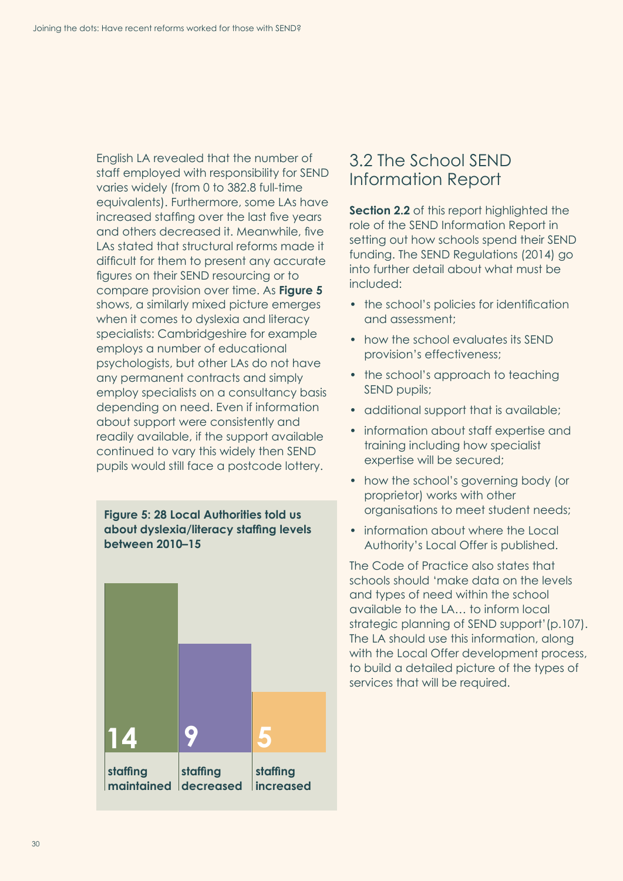<span id="page-31-1"></span>English LA revealed that the number of staff employed with responsibility for SEND varies widely (from 0 to 382.8 full-time equivalents). Furthermore, some LAs have increased staffing over the last five years and others decreased it. Meanwhile, five LAs stated that structural reforms made it difficult for them to present any accurate figures on their SEND resourcing or to compare provision over time. As **Figure 5** shows, a similarly mixed picture emerges when it comes to dyslexia and literacy specialists: Cambridgeshire for example employs a number of educational psychologists, but other LAs do not have any permanent contracts and simply employ specialists on a consultancy basis depending on need. Even if information about support were consistently and readily available, if the support available continued to vary this widely then SEND pupils would still face a postcode lottery.

#### **Figure 5: 28 Local Authorities told us about dyslexia/literacy staffing levels between 2010–15**



### <span id="page-31-0"></span>3.2 The School SEND Information Report

**[Section 2.2](#page-21-1)** of this report highlighted the role of the SEND Information Report in setting out how schools spend their SEND funding. The SEND Regulations (2014) go into further detail about what must be included:

- the school's policies for identification and assessment;
- how the school evaluates its SEND provision's effectiveness;
- the school's approach to teaching SEND pupils;
- additional support that is available;
- information about staff expertise and training including how specialist expertise will be secured;
- how the school's governing body (or proprietor) works with other organisations to meet student needs;
- information about where the Local Authority's Local Offer is published.

The Code of Practice also states that schools should 'make data on the levels and types of need within the school available to the LA… to inform local strategic planning of SEND support'(p.107). The LA should use this information, along with the Local Offer development process, to build a detailed picture of the types of services that will be required.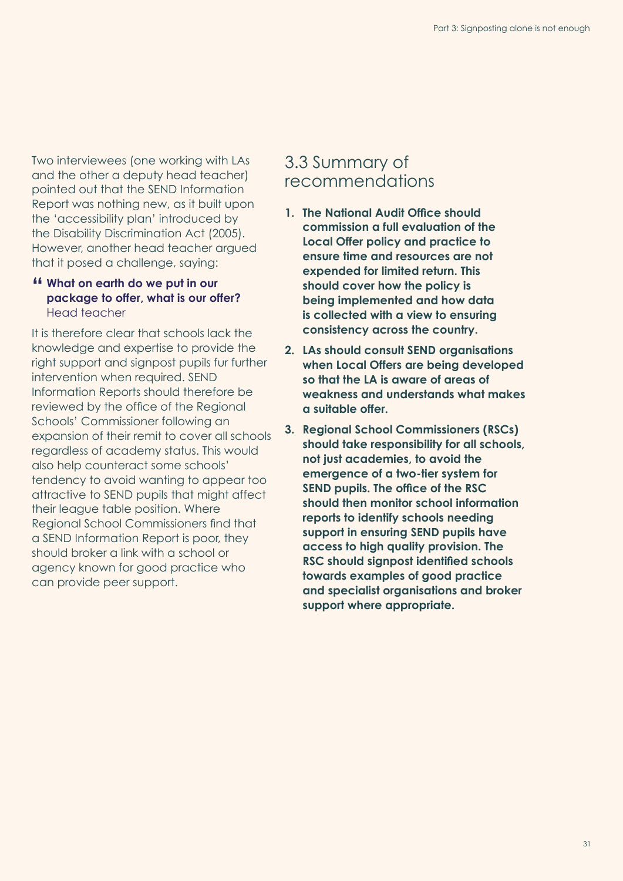Two interviewees (one working with LAs and the other a deputy head teacher) pointed out that the SEND Information Report was nothing new, as it built upon the 'accessibility plan' introduced by the Disability Discrimination Act (2005). However, another head teacher argued that it posed a challenge, saying:

#### **" What on earth do we put in our package to offer, what is our offer?** Head teacher

It is therefore clear that schools lack the knowledge and expertise to provide the right support and signpost pupils fur further intervention when required. SEND Information Reports should therefore be reviewed by the office of the Regional Schools' Commissioner following an expansion of their remit to cover all schools regardless of academy status. This would also help counteract some schools' tendency to avoid wanting to appear too attractive to SEND pupils that might affect their league table position. Where Regional School Commissioners find that a SEND Information Report is poor, they should broker a link with a school or agency known for good practice who can provide peer support.

### <span id="page-32-0"></span>3.3 Summary of recommendations

- **1. The National Audit Office should commission a full evaluation of the Local Offer policy and practice to ensure time and resources are not expended for limited return. This should cover how the policy is being implemented and how data is collected with a view to ensuring consistency across the country.**
- **2. LAs should consult SEND organisations when Local Offers are being developed so that the LA is aware of areas of weakness and understands what makes a suitable offer.**
- **3. Regional School Commissioners (RSCs) should take responsibility for all schools, not just academies, to avoid the emergence of a two-tier system for SEND pupils. The office of the RSC should then monitor school information reports to identify schools needing support in ensuring SEND pupils have access to high quality provision. The RSC should signpost identified schools towards examples of good practice and specialist organisations and broker support where appropriate.**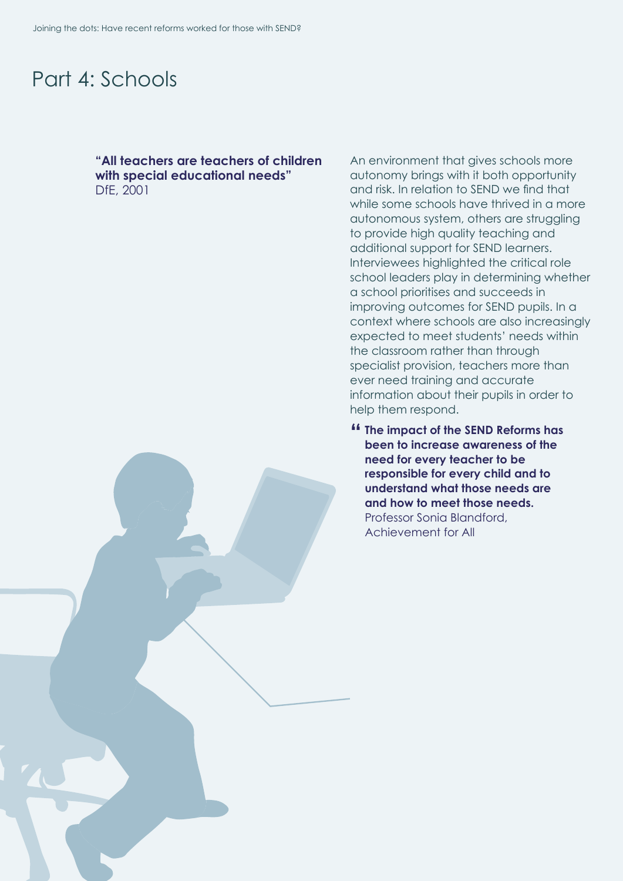## <span id="page-33-0"></span>Part 4: Schools

#### **"All teachers are teachers of children with special educational needs"** DfE, 2001

An environment that gives schools more autonomy brings with it both opportunity and risk. In relation to SEND we find that while some schools have thrived in a more autonomous system, others are struggling to provide high quality teaching and additional support for SEND learners. Interviewees highlighted the critical role school leaders play in determining whether a school prioritises and succeeds in improving outcomes for SEND pupils. In a context where schools are also increasingly expected to meet students' needs within the classroom rather than through specialist provision, teachers more than ever need training and accurate information about their pupils in order to help them respond.

**" The impact of the SEND Reforms has been to increase awareness of the need for every teacher to be responsible for every child and to understand what those needs are and how to meet those needs.** Professor Sonia Blandford, Achievement for All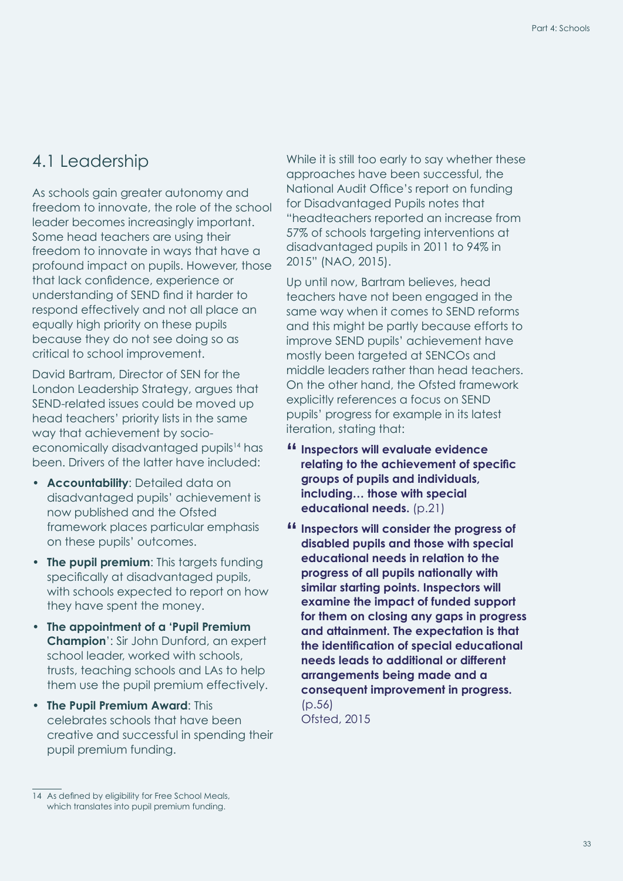### <span id="page-34-0"></span>4.1 Leadership

As schools gain greater autonomy and freedom to innovate, the role of the school leader becomes increasingly important. Some head teachers are using their freedom to innovate in ways that have a profound impact on pupils. However, those that lack confidence, experience or understanding of SEND find it harder to respond effectively and not all place an equally high priority on these pupils because they do not see doing so as critical to school improvement.

David Bartram, Director of SEN for the London Leadership Strategy, argues that SEND-related issues could be moved up head teachers' priority lists in the same way that achievement by socioeconomically disadvantaged pupils<sup>14</sup> has been. Drivers of the latter have included:

- **Accountability**: Detailed data on disadvantaged pupils' achievement is now published and the Ofsted framework places particular emphasis on these pupils' outcomes.
- **The pupil premium**: This targets funding specifically at disadvantaged pupils, with schools expected to report on how they have spent the money.
- **The appointment of a 'Pupil Premium Champion**': Sir John Dunford, an expert school leader, worked with schools, trusts, teaching schools and LAs to help them use the pupil premium effectively.
- **The Pupil Premium Award**: This celebrates schools that have been creative and successful in spending their pupil premium funding.

While it is still too early to say whether these approaches have been successful, the National Audit Office's report on funding for Disadvantaged Pupils notes that "headteachers reported an increase from 57% of schools targeting interventions at disadvantaged pupils in 2011 to 94% in 2015" (NAO, 2015).

Up until now, Bartram believes, head teachers have not been engaged in the same way when it comes to SEND reforms and this might be partly because efforts to improve SEND pupils' achievement have mostly been targeted at SENCOs and middle leaders rather than head teachers. On the other hand, the Ofsted framework explicitly references a focus on SEND pupils' progress for example in its latest iteration, stating that:

- **" Inspectors will evaluate evidence relating to the achievement of specific groups of pupils and individuals, including… those with special educational needs.** (p.21)
- **" Inspectors will consider the progress of disabled pupils and those with special educational needs in relation to the progress of all pupils nationally with similar starting points. Inspectors will examine the impact of funded support for them on closing any gaps in progress and attainment. The expectation is that the identification of special educational needs leads to additional or different arrangements being made and a consequent improvement in progress.**   $(D.56)$ Ofsted, 2015

<sup>14</sup> As defined by eligibility for Free School Meals, which translates into pupil premium funding.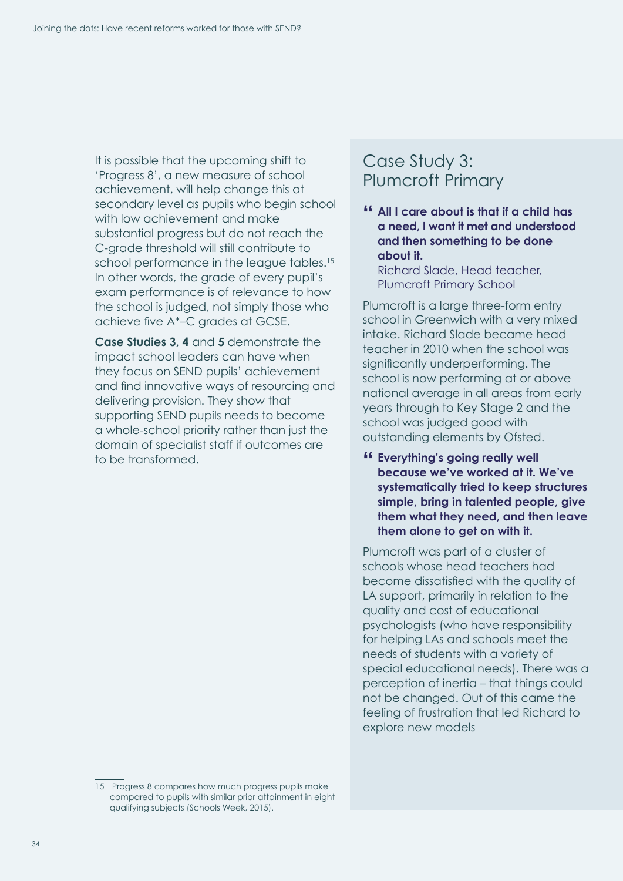<span id="page-35-0"></span>It is possible that the upcoming shift to 'Progress 8', a new measure of school achievement, will help change this at secondary level as pupils who begin school with low achievement and make substantial progress but do not reach the C-grade threshold will still contribute to school performance in the league tables.<sup>15</sup> In other words, the grade of every pupil's exam performance is of relevance to how the school is judged, not simply those who achieve five A\*–C grades at GCSE.

**Case Studies 3, [4](#page-37-0)** and **[5](#page-38-0)** demonstrate the impact school leaders can have when they focus on SEND pupils' achievement and find innovative ways of resourcing and delivering provision. They show that supporting SEND pupils needs to become a whole-school priority rather than just the domain of specialist staff if outcomes are to be transformed.

### Case Study 3: Plumcroft Primary

**" All I care about is that if a child has a need, I want it met and understood and then something to be done about it.** 

Richard Slade, Head teacher, Plumcroft Primary School

Plumcroft is a large three-form entry school in Greenwich with a very mixed intake. Richard Slade became head teacher in 2010 when the school was significantly underperforming. The school is now performing at or above national average in all areas from early years through to Key Stage 2 and the school was judged good with outstanding elements by Ofsted.

**" Everything's going really well because we've worked at it. We've systematically tried to keep structures simple, bring in talented people, give them what they need, and then leave them alone to get on with it.**

Plumcroft was part of a cluster of schools whose head teachers had become dissatisfied with the quality of LA support, primarily in relation to the quality and cost of educational psychologists (who have responsibility for helping LAs and schools meet the needs of students with a variety of special educational needs). There was a perception of inertia – that things could not be changed. Out of this came the feeling of frustration that led Richard to explore new models

<sup>15</sup> Progress 8 compares how much progress pupils make compared to pupils with similar prior attainment in eight qualifying subjects (Schools Week, 2015).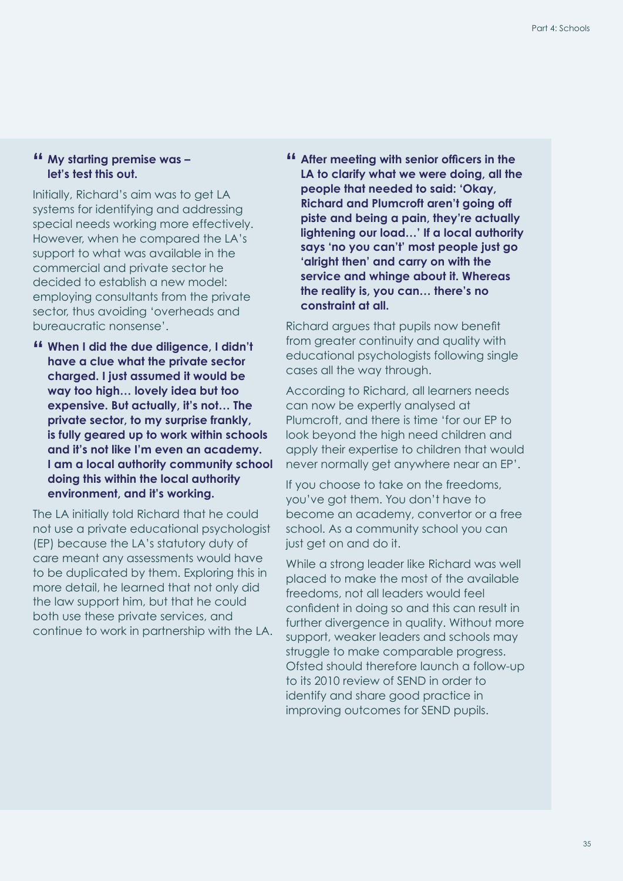#### **" My starting premise was – let's test this out.**

Initially, Richard's aim was to get LA systems for identifying and addressing special needs working more effectively. However, when he compared the LA's support to what was available in the commercial and private sector he decided to establish a new model: employing consultants from the private sector, thus avoiding 'overheads and bureaucratic nonsense'.

**" When I did the due diligence, I didn't have a clue what the private sector charged. I just assumed it would be way too high… lovely idea but too expensive. But actually, it's not… The private sector, to my surprise frankly, is fully geared up to work within schools and it's not like I'm even an academy. I am a local authority community school doing this within the local authority environment, and it's working.**

The LA initially told Richard that he could not use a private educational psychologist (EP) because the LA's statutory duty of care meant any assessments would have to be duplicated by them. Exploring this in more detail, he learned that not only did the law support him, but that he could both use these private services, and continue to work in partnership with the LA. **" After meeting with senior officers in the LA to clarify what we were doing, all the people that needed to said: 'Okay, Richard and Plumcroft aren't going off piste and being a pain, they're actually lightening our load…' If a local authority says 'no you can't' most people just go 'alright then' and carry on with the service and whinge about it. Whereas the reality is, you can… there's no constraint at all.**

Richard argues that pupils now benefit from greater continuity and quality with educational psychologists following single cases all the way through.

According to Richard, all learners needs can now be expertly analysed at Plumcroft, and there is time 'for our EP to look beyond the high need children and apply their expertise to children that would never normally get anywhere near an EP'.

If you choose to take on the freedoms, you've got them. You don't have to become an academy, convertor or a free school. As a community school you can just get on and do it.

While a strong leader like Richard was well placed to make the most of the available freedoms, not all leaders would feel confident in doing so and this can result in further divergence in quality. Without more support, weaker leaders and schools may struggle to make comparable progress. Ofsted should therefore launch a follow-up to its 2010 review of SEND in order to identify and share good practice in improving outcomes for SEND pupils.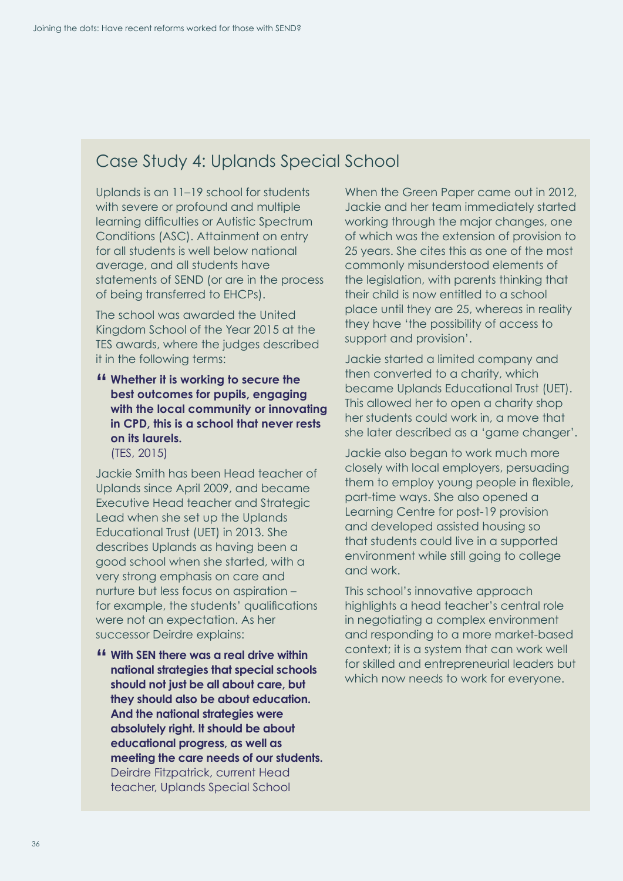### <span id="page-37-0"></span>Case Study 4: Uplands Special School

Uplands is an 11–19 school for students with severe or profound and multiple learning difficulties or Autistic Spectrum Conditions (ASC). Attainment on entry for all students is well below national average, and all students have statements of SEND (or are in the process of being transferred to EHCPs).

The school was awarded the United Kingdom School of the Year 2015 at the TES awards, where the judges described it in the following terms:

#### **" Whether it is working to secure the best outcomes for pupils, engaging with the local community or innovating in CPD, this is a school that never rests on its laurels.** (TES, 2015)

Jackie Smith has been Head teacher of Uplands since April 2009, and became Executive Head teacher and Strategic Lead when she set up the Uplands Educational Trust (UET) in 2013. She describes Uplands as having been a good school when she started, with a very strong emphasis on care and nurture but less focus on aspiration – for example, the students' qualifications were not an expectation. As her successor Deirdre explains:

**" With SEN there was a real drive within national strategies that special schools should not just be all about care, but they should also be about education. And the national strategies were absolutely right. It should be about educational progress, as well as meeting the care needs of our students.** Deirdre Fitzpatrick, current Head teacher, Uplands Special School

When the Green Paper came out in 2012, Jackie and her team immediately started working through the major changes, one of which was the extension of provision to 25 years. She cites this as one of the most commonly misunderstood elements of the legislation, with parents thinking that their child is now entitled to a school place until they are 25, whereas in reality they have 'the possibility of access to support and provision'.

Jackie started a limited company and then converted to a charity, which became Uplands Educational Trust (UET). This allowed her to open a charity shop her students could work in, a move that she later described as a 'game changer'.

Jackie also began to work much more closely with local employers, persuading them to employ young people in flexible, part-time ways. She also opened a Learning Centre for post-19 provision and developed assisted housing so that students could live in a supported environment while still going to college and work.

This school's innovative approach highlights a head teacher's central role in negotiating a complex environment and responding to a more market-based context; it is a system that can work well for skilled and entrepreneurial leaders but which now needs to work for everyone.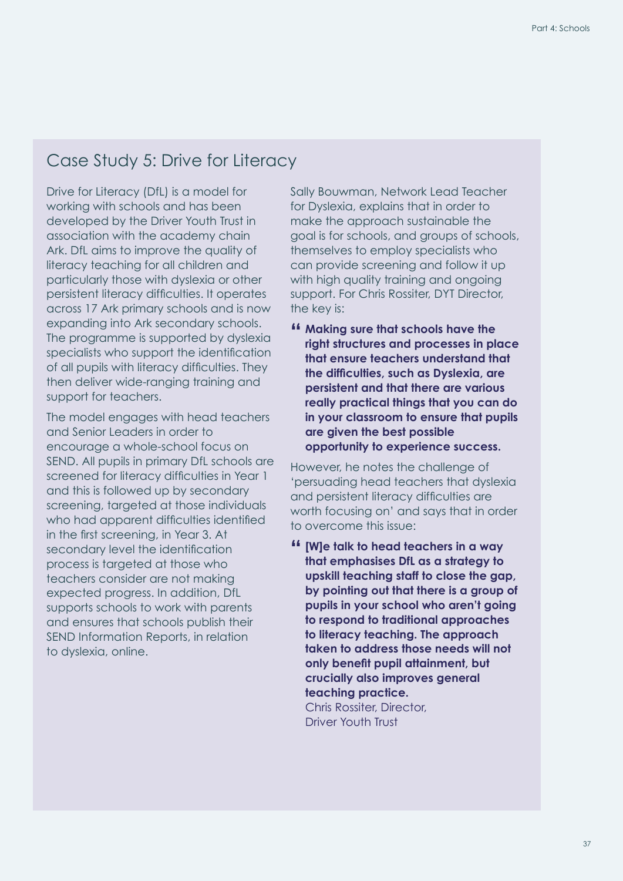### <span id="page-38-0"></span>Case Study 5: Drive for Literacy

Drive for Literacy (DfL) is a model for working with schools and has been developed by the Driver Youth Trust in association with the academy chain Ark. DfL aims to improve the quality of literacy teaching for all children and particularly those with dyslexia or other persistent literacy difficulties. It operates across 17 Ark primary schools and is now expanding into Ark secondary schools. The programme is supported by dyslexia specialists who support the identification of all pupils with literacy difficulties. They then deliver wide-ranging training and support for teachers.

The model engages with head teachers and Senior Leaders in order to encourage a whole-school focus on SEND. All pupils in primary DfL schools are screened for literacy difficulties in Year 1 and this is followed up by secondary screening, targeted at those individuals who had apparent difficulties identified in the first screening, in Year 3. At secondary level the identification process is targeted at those who teachers consider are not making expected progress. In addition, DfL supports schools to work with parents and ensures that schools publish their SEND Information Reports, in relation to dyslexia, online.

Sally Bouwman, Network Lead Teacher for Dyslexia, explains that in order to make the approach sustainable the goal is for schools, and groups of schools, themselves to employ specialists who can provide screening and follow it up with high quality training and ongoing support. For Chris Rossiter, DYT Director, the key is:

**" Making sure that schools have the right structures and processes in place that ensure teachers understand that the difficulties, such as Dyslexia, are persistent and that there are various really practical things that you can do in your classroom to ensure that pupils are given the best possible opportunity to experience success.**

However, he notes the challenge of 'persuading head teachers that dyslexia and persistent literacy difficulties are worth focusing on' and says that in order to overcome this issue:

**" [W]e talk to head teachers in a way that emphasises DfL as a strategy to upskill teaching staff to close the gap, by pointing out that there is a group of pupils in your school who aren't going to respond to traditional approaches to literacy teaching. The approach taken to address those needs will not only benefit pupil attainment, but crucially also improves general teaching practice.** Chris Rossiter, Director, Driver Youth Trust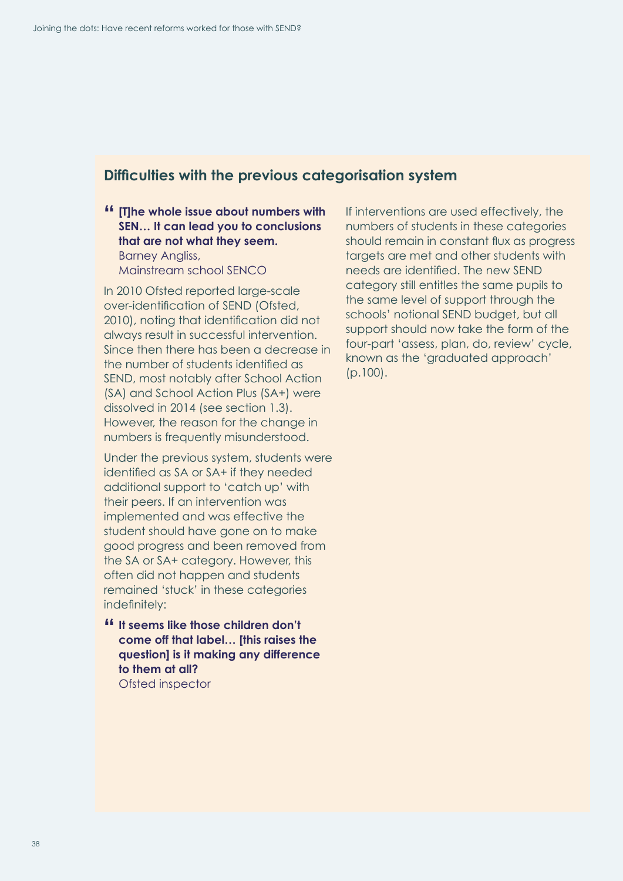### **Difficulties with the previous categorisation system**

#### **" [T]he whole issue about numbers with SEN… It can lead you to conclusions that are not what they seem.** Barney Angliss,

Mainstream school SENCO

In 2010 Ofsted reported large-scale over-identification of SEND (Ofsted, 2010), noting that identification did not always result in successful intervention. Since then there has been a decrease in the number of students identified as SEND, most notably after School Action (SA) and School Action Plus (SA+) were dissolved in 2014 (see section 1.3). However, the reason for the change in numbers is frequently misunderstood.

Under the previous system, students were identified as SA or SA+ if they needed additional support to 'catch up' with their peers. If an intervention was implemented and was effective the student should have gone on to make good progress and been removed from the SA or SA+ category. However, this often did not happen and students remained 'stuck' in these categories indefinitely:

**" It seems like those children don't come off that label… [this raises the question] is it making any difference to them at all?**  Ofsted inspector

If interventions are used effectively, the numbers of students in these categories should remain in constant flux as progress targets are met and other students with needs are identified. The new SEND category still entitles the same pupils to the same level of support through the schools' notional SEND budget, but all support should now take the form of the four-part 'assess, plan, do, review' cycle, known as the 'graduated approach' (p.100).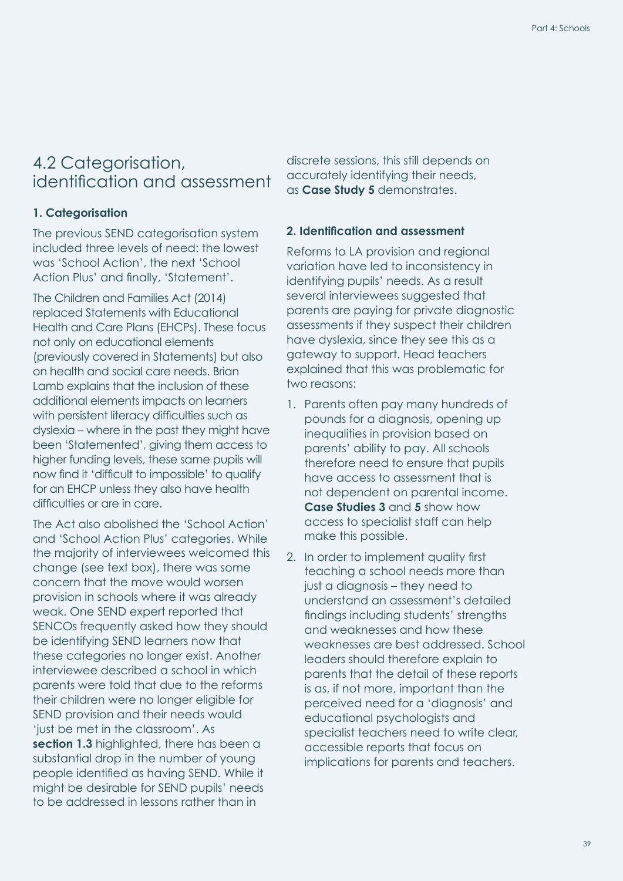### <span id="page-40-0"></span>4.2 Categorisation, identification and assessment

#### **1. Categorisation**

The previous SEND categorisation system included three levels of need: the lowest was 'School Action', the next 'School Action Plus' and finally, 'Statement'.

The Children and Families Act (2014) replaced Statements with Educational Health and Care Plans (EHCPs). These focus not only on educational elements (previously covered in Statements) but also on health and social care needs. Brian Lamb explains that the inclusion of these additional elements impacts on learners with persistent literacy difficulties such as dyslexia – where in the past they might have been 'Statemented', giving them access to higher funding levels, these same pupils will now find it 'difficult to impossible' to qualify for an EHCP unless they also have health difficulties or are in care.

The Act also abolished the 'School Action' and 'School Action Plus' categories. While the majority of interviewees welcomed this change (see text box), there was some concern that the move would worsen provision in schools where it was already weak. One SEND expert reported that SENCOs frequently asked how they should be identifying SEND learners now that these categories no longer exist. Another interviewee described a school in which parents were told that due to the reforms their children were no longer eligible for SEND provision and their needs would 'just be met in the classroom'. As **[section 1.3](#page-13-1)** highlighted, there has been a substantial drop in the number of young people identified as having SEND. While it might be desirable for SEND pupils' needs to be addressed in lessons rather than in

discrete sessions, this still depends on accurately identifying their needs, as **[Case Study 5](#page-38-0)** demonstrates.

#### **2. Identification and assessment**

Reforms to LA provision and regional variation have led to inconsistency in identifying pupils' needs. As a result several interviewees suggested that parents are paying for private diagnostic assessments if they suspect their children have dyslexia, since they see this as a gateway to support. Head teachers explained that this was problematic for two reasons:

- 1. Parents often pay many hundreds of pounds for a diagnosis, opening up inequalities in provision based on parents' ability to pay. All schools therefore need to ensure that pupils have access to assessment that is not dependent on parental income. **[Case Studies 3](#page-35-0)** and **[5](#page-38-0)** show how access to specialist staff can help make this possible.
- 2. In order to implement quality first teaching a school needs more than just a diagnosis – they need to understand an assessment's detailed findings including students' strengths and weaknesses and how these weaknesses are best addressed. School leaders should therefore explain to parents that the detail of these reports is as, if not more, important than the perceived need for a 'diagnosis' and educational psychologists and specialist teachers need to write clear, accessible reports that focus on implications for parents and teachers.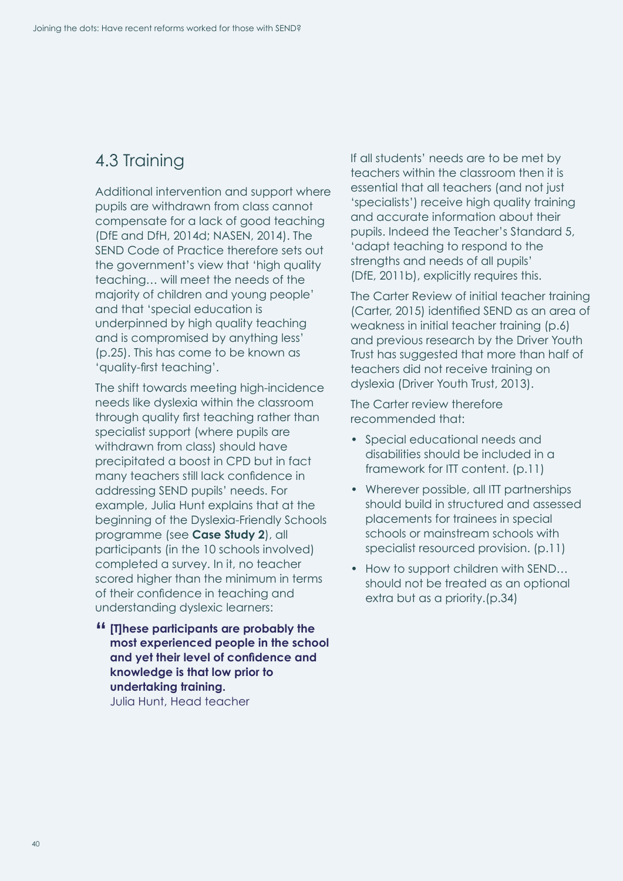### <span id="page-41-0"></span>4.3 Training

Additional intervention and support where pupils are withdrawn from class cannot compensate for a lack of good teaching (DfE and DfH, 2014d; NASEN, 2014). The SEND Code of Practice therefore sets out the government's view that 'high quality teaching… will meet the needs of the majority of children and young people' and that 'special education is underpinned by high quality teaching and is compromised by anything less' (p.25). This has come to be known as 'quality-first teaching'.

The shift towards meeting high-incidence needs like dyslexia within the classroom through quality first teaching rather than specialist support (where pupils are withdrawn from class) should have precipitated a boost in CPD but in fact many teachers still lack confidence in addressing SEND pupils' needs. For example, Julia Hunt explains that at the beginning of the Dyslexia-Friendly Schools programme (see **[Case Study 2](#page-27-0)**), all participants (in the 10 schools involved) completed a survey. In it, no teacher scored higher than the minimum in terms of their confidence in teaching and understanding dyslexic learners:

**" [T]hese participants are probably the most experienced people in the school and yet their level of confidence and knowledge is that low prior to undertaking training.** Julia Hunt, Head teacher

If all students' needs are to be met by teachers within the classroom then it is essential that all teachers (and not just 'specialists') receive high quality training and accurate information about their pupils. Indeed the Teacher's Standard 5, 'adapt teaching to respond to the strengths and needs of all pupils' (DfE, 2011b), explicitly requires this.

The Carter Review of initial teacher training (Carter, 2015) identified SEND as an area of weakness in initial teacher training (p.6) and previous research by the Driver Youth Trust has suggested that more than half of teachers did not receive training on dyslexia (Driver Youth Trust, 2013).

The Carter review therefore recommended that:

- Special educational needs and disabilities should be included in a framework for ITT content. (p.11)
- Wherever possible, all ITT partnerships should build in structured and assessed placements for trainees in special schools or mainstream schools with specialist resourced provision. (p.11)
- How to support children with SEND... should not be treated as an optional extra but as a priority.(p.34)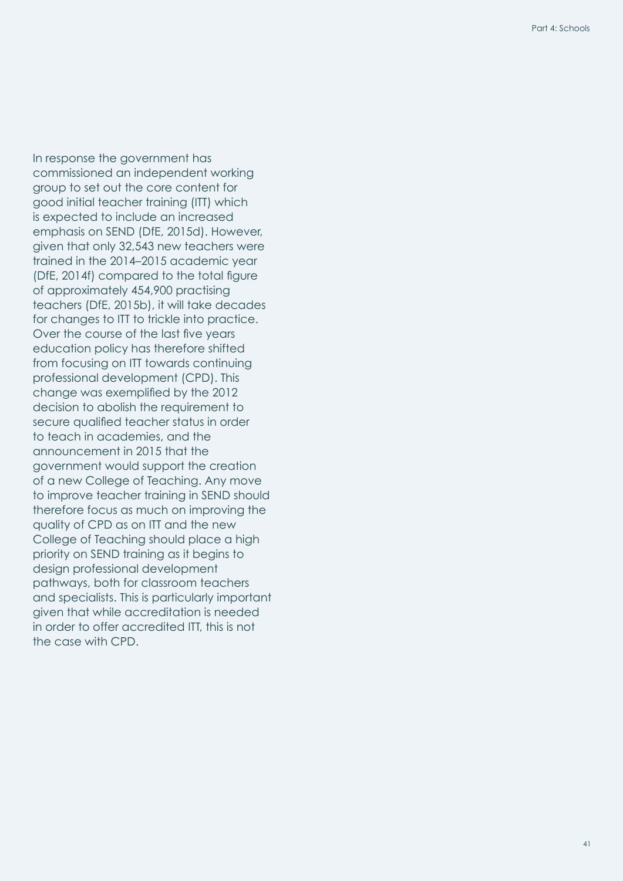In response the government has commissioned an independent working group to set out the core content for good initial teacher training (ITT) which is expected to include an increased emphasis on SEND (DfE, 2015d). However, given that only 32,543 new teachers were trained in the 2014–2015 academic year (DfE, 2014f) compared to the total figure of approximately 454,900 practising teachers (DfE, 2015b), it will take decades for changes to ITT to trickle into practice. Over the course of the last five years education policy has therefore shifted from focusing on ITT towards continuing professional development (CPD). This change was exemplified by the 2012 decision to abolish the requirement to secure qualified teacher status in order to teach in academies, and the announcement in 2015 that the government would support the creation of a new College of Teaching. Any move to improve teacher training in SEND should therefore focus as much on improving the quality of CPD as on ITT and the new College of Teaching should place a high priority on SEND training as it begins to design professional development pathways, both for classroom teachers and specialists. This is particularly important given that while accreditation is needed in order to offer accredited ITT, this is not the case with CPD.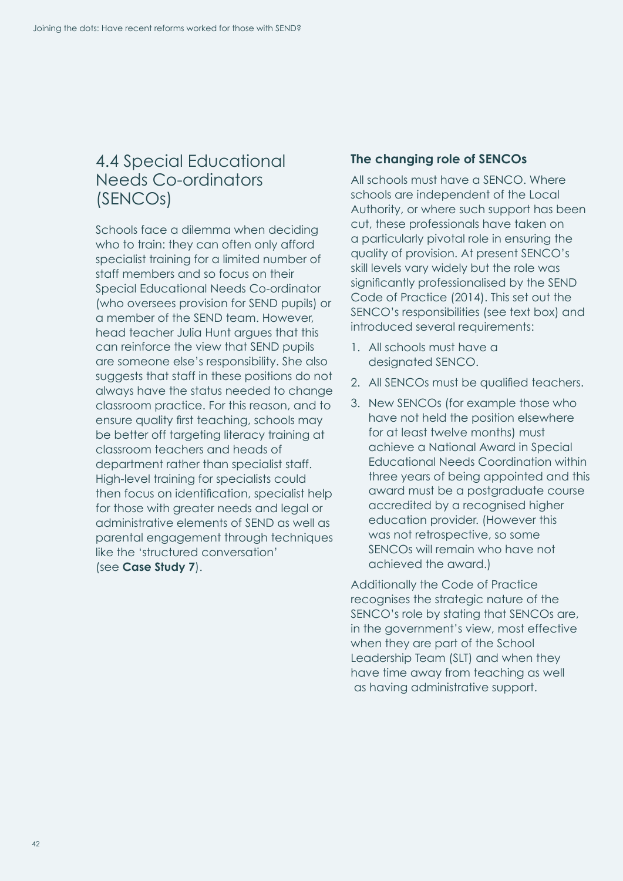### <span id="page-43-1"></span><span id="page-43-0"></span>4.4 Special Educational Needs Co-ordinators (SENCOs)

Schools face a dilemma when deciding who to train: they can often only afford specialist training for a limited number of staff members and so focus on their Special Educational Needs Co-ordinator (who oversees provision for SEND pupils) or a member of the SEND team. However, head teacher Julia Hunt argues that this can reinforce the view that SEND pupils are someone else's responsibility. She also suggests that staff in these positions do not always have the status needed to change classroom practice. For this reason, and to ensure quality first teaching, schools may be better off targeting literacy training at classroom teachers and heads of department rather than specialist staff. High-level training for specialists could then focus on identification, specialist help for those with greater needs and legal or administrative elements of SEND as well as parental engagement through techniques like the 'structured conversation' (see **[Case Study 7](#page-47-0)**).

#### **The changing role of SENCOs**

All schools must have a SENCO. Where schools are independent of the Local Authority, or where such support has been cut, these professionals have taken on a particularly pivotal role in ensuring the quality of provision. At present SENCO's skill levels vary widely but the role was significantly professionalised by the SEND Code of Practice (2014). This set out the SENCO's responsibilities (see text box) and introduced several requirements:

- 1. All schools must have a designated SENCO.
- 2. All SENCOs must be qualified teachers.
- 3. New SENCOs (for example those who have not held the position elsewhere for at least twelve months) must achieve a National Award in Special Educational Needs Coordination within three years of being appointed and this award must be a postgraduate course accredited by a recognised higher education provider. (However this was not retrospective, so some SENCOs will remain who have not achieved the award.)

Additionally the Code of Practice recognises the strategic nature of the SENCO's role by stating that SENCOs are, in the government's view, most effective when they are part of the School Leadership Team (SLT) and when they have time away from teaching as well as having administrative support.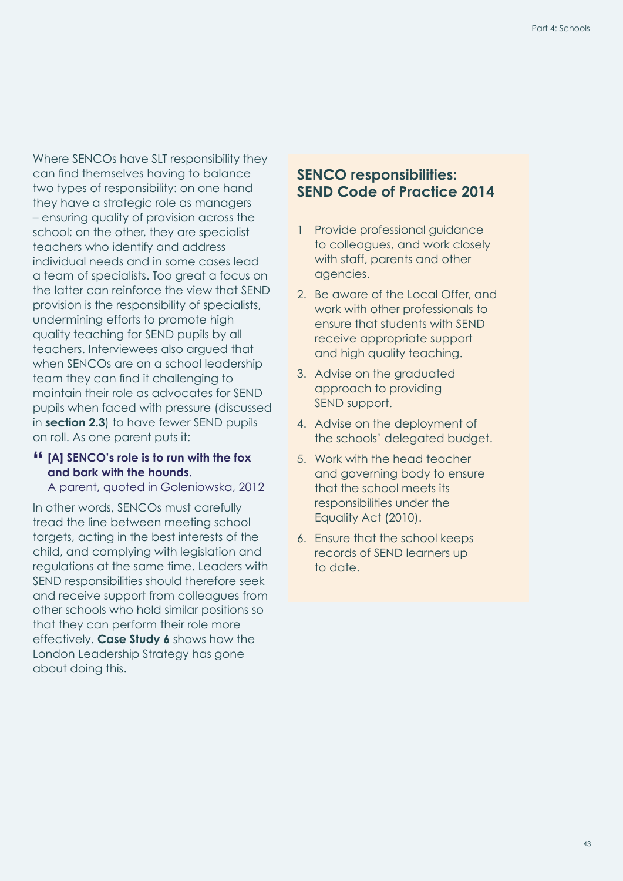Where SENCOs have SLT responsibility they can find themselves having to balance two types of responsibility: on one hand they have a strategic role as managers – ensuring quality of provision across the school; on the other, they are specialist teachers who identify and address individual needs and in some cases lead a team of specialists. Too great a focus on the latter can reinforce the view that SEND provision is the responsibility of specialists, undermining efforts to promote high quality teaching for SEND pupils by all teachers. Interviewees also argued that when SENCOs are on a school leadership team they can find it challenging to maintain their role as advocates for SEND pupils when faced with pressure (discussed in **section 2.3**) to have fewer SEND pupils on roll. As one parent puts it:

#### **" [A] SENCO's role is to run with the fox and bark with the hounds.**

A parent, quoted in Goleniowska, 2012

In other words, SENCOs must carefully tread the line between meeting school targets, acting in the best interests of the child, and complying with legislation and regulations at the same time. Leaders with SEND responsibilities should therefore seek and receive support from colleagues from other schools who hold similar positions so that they can perform their role more effectively. **[Case Study 6](#page-43-1)** shows how the London Leadership Strategy has gone about doing this.

#### **SENCO responsibilities: SEND Code of Practice 2014**

- 1 Provide professional guidance to colleagues, and work closely with staff, parents and other agencies.
- 2. Be aware of the Local Offer, and work with other professionals to ensure that students with SEND receive appropriate support and high quality teaching.
- 3. Advise on the graduated approach to providing SEND support.
- 4. Advise on the deployment of the schools' delegated budget.
- 5. Work with the head teacher and governing body to ensure that the school meets its responsibilities under the Equality Act (2010).
- 6. Ensure that the school keeps records of SEND learners up to date.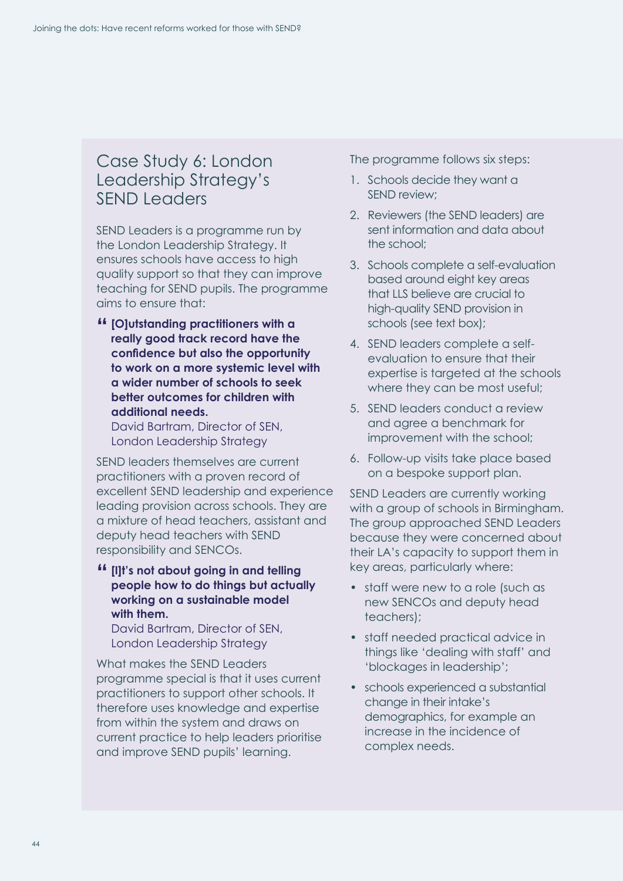### Case Study 6: London Leadership Strategy's SEND Leaders

SEND Leaders is a programme run by the London Leadership Strategy. It ensures schools have access to high quality support so that they can improve teaching for SEND pupils. The programme aims to ensure that:

**" [O]utstanding practitioners with a really good track record have the confidence but also the opportunity to work on a more systemic level with a wider number of schools to seek better outcomes for children with additional needs.**

David Bartram, Director of SEN, London Leadership Strategy

SEND leaders themselves are current practitioners with a proven record of excellent SEND leadership and experience leading provision across schools. They are a mixture of head teachers, assistant and deputy head teachers with SEND responsibility and SENCOs.

**" [I]t's not about going in and telling people how to do things but actually working on a sustainable model with them.**

David Bartram, Director of SEN, London Leadership Strategy

What makes the SEND Leaders programme special is that it uses current practitioners to support other schools. It therefore uses knowledge and expertise from within the system and draws on current practice to help leaders prioritise and improve SEND pupils' learning.

The programme follows six steps:

- 1. Schools decide they want a SEND review;
- 2. Reviewers (the SEND leaders) are sent information and data about the school;
- 3. Schools complete a self-evaluation based around eight key areas that LLS believe are crucial to high-quality SEND provision in schools (see text box);
- 4. SEND leaders complete a selfevaluation to ensure that their expertise is targeted at the schools where they can be most useful;
- 5. SEND leaders conduct a review and agree a benchmark for improvement with the school;
- 6. Follow-up visits take place based on a bespoke support plan.

SEND Leaders are currently working with a group of schools in Birmingham. The group approached SEND Leaders because they were concerned about their LA's capacity to support them in key areas, particularly where:

- staff were new to a role (such as new SENCOs and deputy head teachers);
- staff needed practical advice in things like 'dealing with staff' and 'blockages in leadership';
- schools experienced a substantial change in their intake's demographics, for example an increase in the incidence of complex needs.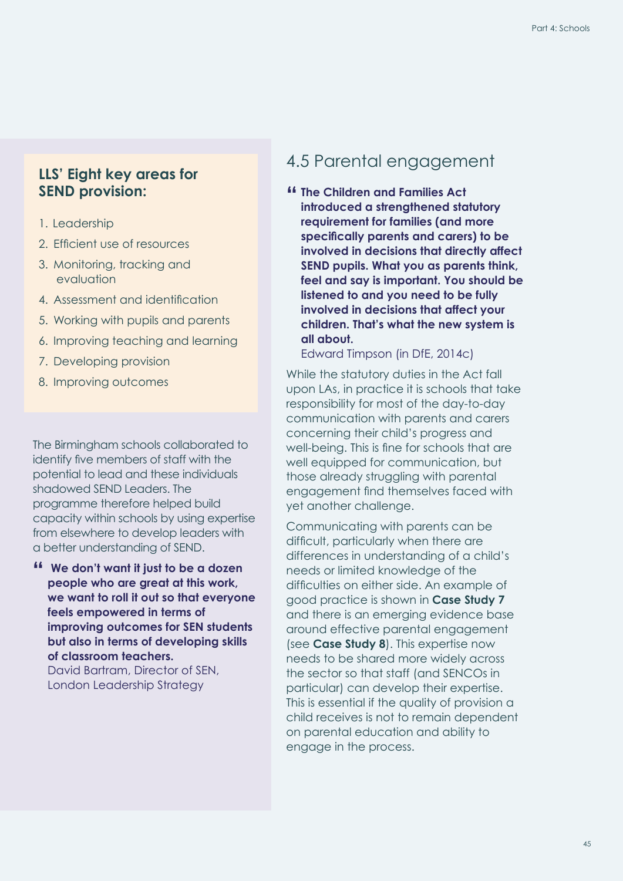#### **LLS' Eight key areas for SEND provision:**

- 1. Leadership
- 2. Efficient use of resources
- 3. Monitoring, tracking and evaluation
- 4. Assessment and identification
- 5. Working with pupils and parents
- 6. Improving teaching and learning
- 7. Developing provision
- 8. Improving outcomes

The Birmingham schools collaborated to identify five members of staff with the potential to lead and these individuals shadowed SEND Leaders. The programme therefore helped build capacity within schools by using expertise from elsewhere to develop leaders with a better understanding of SEND.

**" We don't want it just to be a dozen people who are great at this work, we want to roll it out so that everyone feels empowered in terms of improving outcomes for SEN students but also in terms of developing skills of classroom teachers.** David Bartram, Director of SEN, London Leadership Strategy

### <span id="page-46-0"></span>4.5 Parental engagement

**" The Children and Families Act introduced a strengthened statutory requirement for families (and more specifically parents and carers) to be involved in decisions that directly affect SEND pupils. What you as parents think, feel and say is important. You should be listened to and you need to be fully involved in decisions that affect your children. That's what the new system is all about.**

Edward Timpson (in DfE, 2014c)

While the statutory duties in the Act fall upon LAs, in practice it is schools that take responsibility for most of the day-to-day communication with parents and carers concerning their child's progress and well-being. This is fine for schools that are well equipped for communication, but those already struggling with parental engagement find themselves faced with yet another challenge.

Communicating with parents can be difficult, particularly when there are differences in understanding of a child's needs or limited knowledge of the difficulties on either side. An example of good practice is shown in **[Case Study 7](#page-47-0)** and there is an emerging evidence base around effective parental engagement (see **[Case Study 8](#page-47-0)**). This expertise now needs to be shared more widely across the sector so that staff (and SENCOs in particular) can develop their expertise. This is essential if the quality of provision a child receives is not to remain dependent on parental education and ability to engage in the process.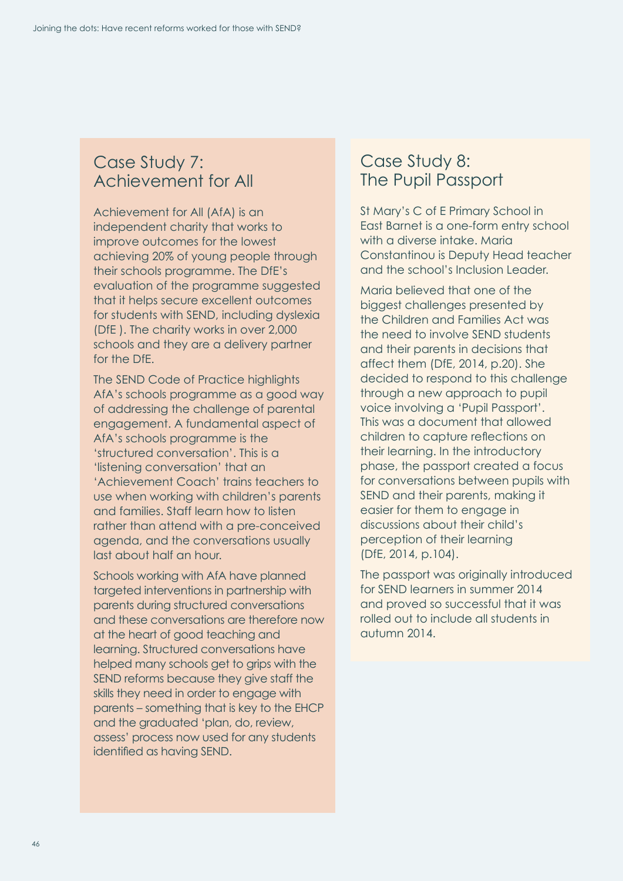### <span id="page-47-0"></span>Case Study 7: Achievement for All

Achievement for All (AfA) is an independent charity that works to improve outcomes for the lowest achieving 20% of young people through their schools programme. The DfE's evaluation of the programme suggested that it helps secure excellent outcomes for students with SEND, including dyslexia (DfE ). The charity works in over 2,000 schools and they are a delivery partner for the DfE.

The SEND Code of Practice highlights AfA's schools programme as a good way of addressing the challenge of parental engagement. A fundamental aspect of AfA's schools programme is the 'structured conversation'. This is a 'listening conversation' that an 'Achievement Coach' trains teachers to use when working with children's parents and families. Staff learn how to listen rather than attend with a pre-conceived agenda, and the conversations usually last about half an hour.

Schools working with AfA have planned targeted interventions in partnership with parents during structured conversations and these conversations are therefore now at the heart of good teaching and learning. Structured conversations have helped many schools get to grips with the SEND reforms because they give staff the skills they need in order to engage with parents – something that is key to the EHCP and the graduated 'plan, do, review, assess' process now used for any students identified as having SEND.

### Case Study 8: The Pupil Passport

St Mary's C of E Primary School in East Barnet is a one-form entry school with a diverse intake. Maria Constantinou is Deputy Head teacher and the school's Inclusion Leader.

Maria believed that one of the biggest challenges presented by the Children and Families Act was the need to involve SEND students and their parents in decisions that affect them (DfE, 2014, p.20). She decided to respond to this challenge through a new approach to pupil voice involving a 'Pupil Passport'. This was a document that allowed children to capture reflections on their learning. In the introductory phase, the passport created a focus for conversations between pupils with SEND and their parents, making it easier for them to engage in discussions about their child's perception of their learning (DfE, 2014, p.104).

The passport was originally introduced for SEND learners in summer 2014 and proved so successful that it was rolled out to include all students in autumn 2014.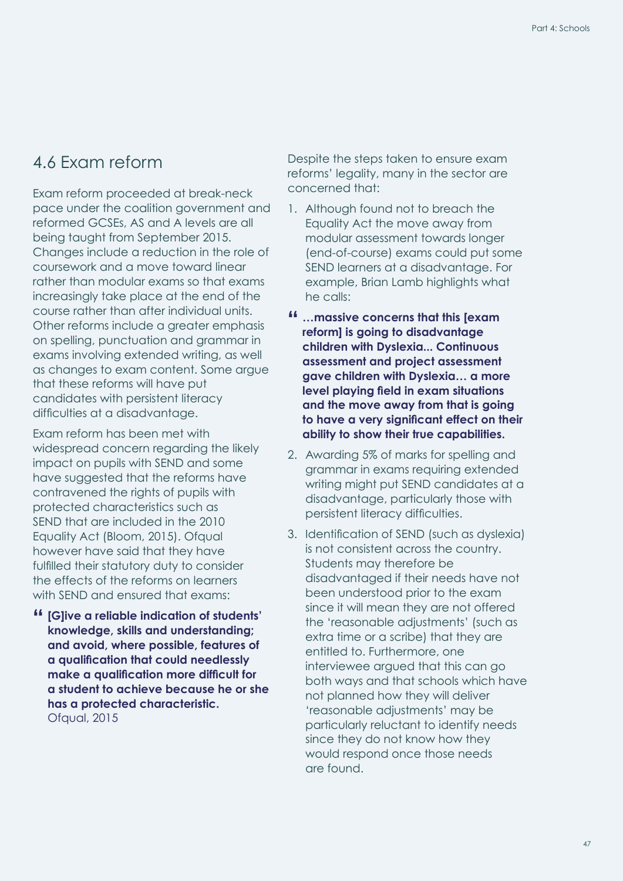### <span id="page-48-0"></span>4.6 Exam reform

Exam reform proceeded at break-neck pace under the coalition government and reformed GCSEs, AS and A levels are all being taught from September 2015. Changes include a reduction in the role of coursework and a move toward linear rather than modular exams so that exams increasingly take place at the end of the course rather than after individual units. Other reforms include a greater emphasis on spelling, punctuation and grammar in exams involving extended writing, as well as changes to exam content. Some argue that these reforms will have put candidates with persistent literacy difficulties at a disadvantage.

Exam reform has been met with widespread concern regarding the likely impact on pupils with SEND and some have suggested that the reforms have contravened the rights of pupils with protected characteristics such as SEND that are included in the 2010 Equality Act (Bloom, 2015). Ofqual however have said that they have fulfilled their statutory duty to consider the effects of the reforms on learners with SEND and ensured that exams:

**" [G]ive a reliable indication of students' knowledge, skills and understanding; and avoid, where possible, features of a qualification that could needlessly make a qualification more difficult for a student to achieve because he or she has a protected characteristic.**  Ofqual, 2015

Despite the steps taken to ensure exam reforms' legality, many in the sector are concerned that:

- 1. Although found not to breach the Equality Act the move away from modular assessment towards longer (end-of-course) exams could put some SEND learners at a disadvantage. For example, Brian Lamb highlights what he calls:
- **" …massive concerns that this [exam reform] is going to disadvantage children with Dyslexia... Continuous assessment and project assessment gave children with Dyslexia… a more level playing field in exam situations and the move away from that is going to have a very significant effect on their ability to show their true capabilities.**
- 2. Awarding 5% of marks for spelling and grammar in exams requiring extended writing might put SEND candidates at a disadvantage, particularly those with persistent literacy difficulties.
- 3. Identification of SEND (such as dyslexia) is not consistent across the country. Students may therefore be disadvantaged if their needs have not been understood prior to the exam since it will mean they are not offered the 'reasonable adjustments' (such as extra time or a scribe) that they are entitled to. Furthermore, one interviewee argued that this can go both ways and that schools which have not planned how they will deliver 'reasonable adjustments' may be particularly reluctant to identify needs since they do not know how they would respond once those needs are found.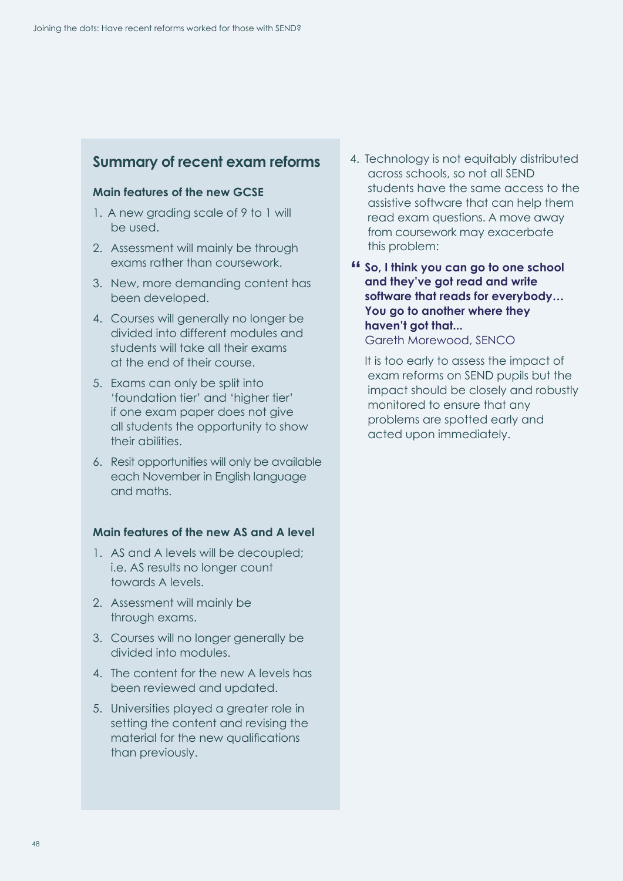### **Summary of recent exam reforms**

#### **Main features of the new GCSE**

- 1. A new grading scale of 9 to 1 will be used.
- 2. Assessment will mainly be through exams rather than coursework.
- 3. New, more demanding content has been developed.
- 4. Courses will generally no longer be divided into different modules and students will take all their exams at the end of their course.
- 5. Exams can only be split into 'foundation tier' and 'higher tier' if one exam paper does not give all students the opportunity to show their abilities.
- 6. Resit opportunities will only be available each November in English language and maths.

#### **Main features of the new AS and A level**

- 1. AS and A levels will be decoupled; i.e. AS results no longer count towards A levels.
- 2. Assessment will mainly be through exams.
- 3. Courses will no longer generally be divided into modules.
- 4. The content for the new A levels has been reviewed and updated.
- 5. Universities played a greater role in setting the content and revising the material for the new qualifications than previously.
- 4. Technology is not equitably distributed across schools, so not all SEND students have the same access to the assistive software that can help them read exam questions. A move away from coursework may exacerbate this problem:
- **" So, I think you can go to one school and they've got read and write software that reads for everybody… You go to another where they haven't got that...** Gareth Morewood, SENCO

It is too early to assess the impact of exam reforms on SEND pupils but the impact should be closely and robustly monitored to ensure that any problems are spotted early and acted upon immediately.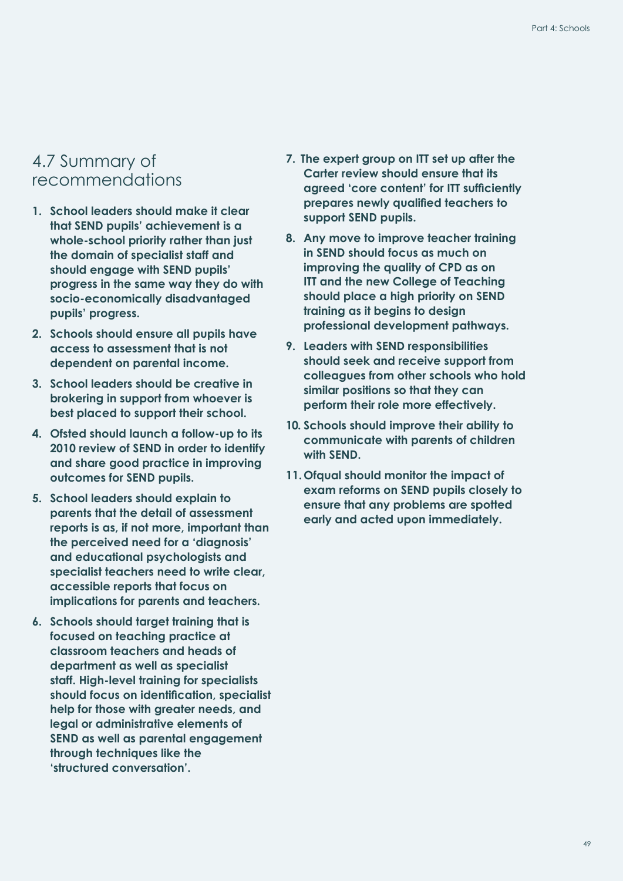### <span id="page-50-0"></span>4.7 Summary of recommendations

- **1. School leaders should make it clear that SEND pupils' achievement is a whole-school priority rather than just the domain of specialist staff and should engage with SEND pupils' progress in the same way they do with socio-economically disadvantaged pupils' progress.**
- **2. Schools should ensure all pupils have access to assessment that is not dependent on parental income.**
- **3. School leaders should be creative in brokering in support from whoever is best placed to support their school.**
- **4. Ofsted should launch a follow-up to its 2010 review of SEND in order to identify and share good practice in improving outcomes for SEND pupils.**
- **5. School leaders should explain to parents that the detail of assessment reports is as, if not more, important than the perceived need for a 'diagnosis' and educational psychologists and specialist teachers need to write clear, accessible reports that focus on implications for parents and teachers.**
- **6. Schools should target training that is focused on teaching practice at classroom teachers and heads of department as well as specialist staff. High-level training for specialists should focus on identification, specialist help for those with greater needs, and legal or administrative elements of SEND as well as parental engagement through techniques like the 'structured conversation'.**
- **7. The expert group on ITT set up after the Carter review should ensure that its agreed 'core content' for ITT sufficiently prepares newly qualified teachers to support SEND pupils.**
- **8. Any move to improve teacher training in SEND should focus as much on improving the quality of CPD as on ITT and the new College of Teaching should place a high priority on SEND training as it begins to design professional development pathways.**
- **9. Leaders with SEND responsibilities should seek and receive support from colleagues from other schools who hold similar positions so that they can perform their role more effectively.**
- **10. Schools should improve their ability to communicate with parents of children with SEND.**
- **11. Ofqual should monitor the impact of exam reforms on SEND pupils closely to ensure that any problems are spotted early and acted upon immediately.**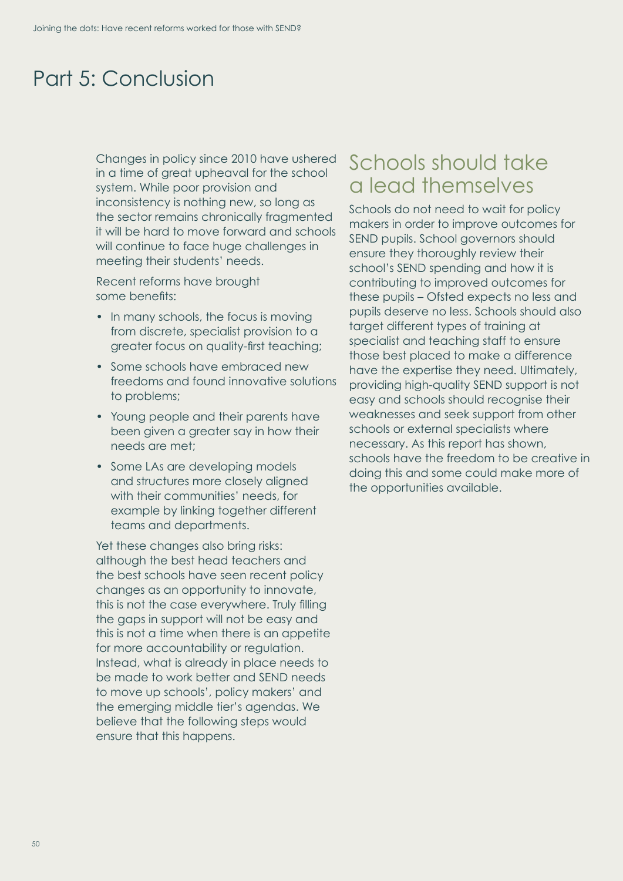## <span id="page-51-0"></span>Part 5: Conclusion

Changes in policy since 2010 have ushered in a time of great upheaval for the school system. While poor provision and inconsistency is nothing new, so long as the sector remains chronically fragmented it will be hard to move forward and schools will continue to face huge challenges in meeting their students' needs.

Recent reforms have brought some benefits:

- In many schools, the focus is moving from discrete, specialist provision to a greater focus on quality-first teaching;
- Some schools have embraced new freedoms and found innovative solutions to problems;
- Young people and their parents have been given a greater say in how their needs are met;
- Some LAs are developing models and structures more closely aligned with their communities' needs, for example by linking together different teams and departments.

Yet these changes also bring risks: although the best head teachers and the best schools have seen recent policy changes as an opportunity to innovate, this is not the case everywhere. Truly filling the gaps in support will not be easy and this is not a time when there is an appetite for more accountability or regulation. Instead, what is already in place needs to be made to work better and SEND needs to move up schools', policy makers' and the emerging middle tier's agendas. We believe that the following steps would ensure that this happens.

## Schools should take a lead themselves

Schools do not need to wait for policy makers in order to improve outcomes for SEND pupils. School governors should ensure they thoroughly review their school's SEND spending and how it is contributing to improved outcomes for these pupils – Ofsted expects no less and pupils deserve no less. Schools should also target different types of training at specialist and teaching staff to ensure those best placed to make a difference have the expertise they need. Ultimately, providing high-quality SEND support is not easy and schools should recognise their weaknesses and seek support from other schools or external specialists where necessary. As this report has shown, schools have the freedom to be creative in doing this and some could make more of the opportunities available.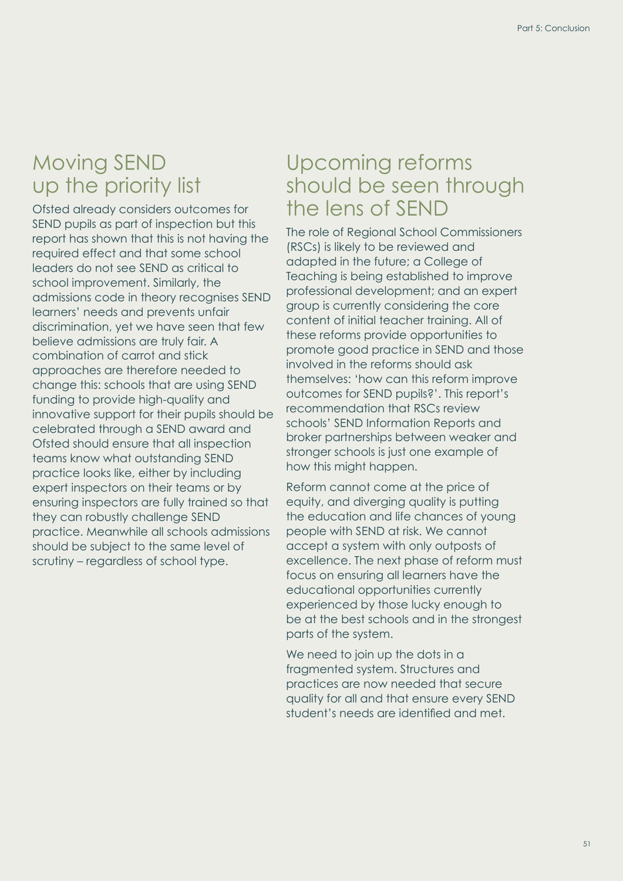## Moving SEND up the priority list

Ofsted already considers outcomes for SEND pupils as part of inspection but this report has shown that this is not having the required effect and that some school leaders do not see SEND as critical to school improvement. Similarly, the admissions code in theory recognises SEND learners' needs and prevents unfair discrimination, yet we have seen that few believe admissions are truly fair. A combination of carrot and stick approaches are therefore needed to change this: schools that are using SEND funding to provide high-quality and innovative support for their pupils should be celebrated through a SEND award and Ofsted should ensure that all inspection teams know what outstanding SEND practice looks like, either by including expert inspectors on their teams or by ensuring inspectors are fully trained so that they can robustly challenge SEND practice. Meanwhile all schools admissions should be subject to the same level of scrutiny – regardless of school type.

## Upcoming reforms should be seen through the lens of SEND

The role of Regional School Commissioners (RSCs) is likely to be reviewed and adapted in the future; a College of Teaching is being established to improve professional development; and an expert group is currently considering the core content of initial teacher training. All of these reforms provide opportunities to promote good practice in SEND and those involved in the reforms should ask themselves: 'how can this reform improve outcomes for SEND pupils?'. This report's recommendation that RSCs review schools' SEND Information Reports and broker partnerships between weaker and stronger schools is just one example of how this might happen.

Reform cannot come at the price of equity, and diverging quality is putting the education and life chances of young people with SEND at risk. We cannot accept a system with only outposts of excellence. The next phase of reform must focus on ensuring all learners have the educational opportunities currently experienced by those lucky enough to be at the best schools and in the strongest parts of the system.

We need to join up the dots in a fragmented system. Structures and practices are now needed that secure quality for all and that ensure every SEND student's needs are identified and met.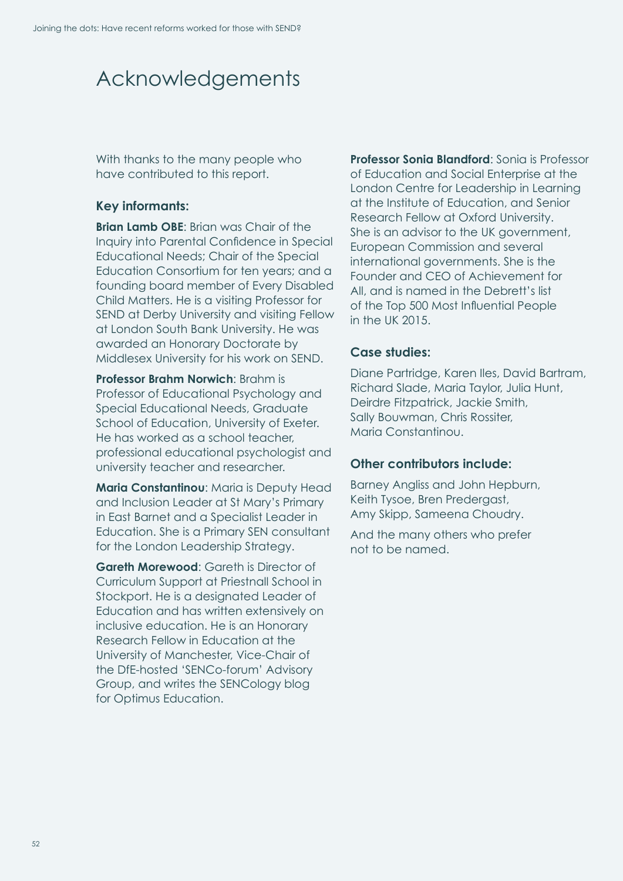## <span id="page-53-0"></span>Acknowledgements

With thanks to the many people who have contributed to this report.

#### **Key informants:**

**Brian Lamb OBE**: Brian was Chair of the Inquiry into Parental Confidence in Special Educational Needs; Chair of the Special Education Consortium for ten years; and a founding board member of Every Disabled Child Matters. He is a visiting Professor for SEND at Derby University and visiting Fellow at London South Bank University. He was awarded an Honorary Doctorate by Middlesex University for his work on SEND.

**Professor Brahm Norwich**: Brahm is Professor of Educational Psychology and Special Educational Needs, Graduate School of Education, University of Exeter. He has worked as a school teacher, professional educational psychologist and university teacher and researcher.

**Maria Constantinou**: Maria is Deputy Head and Inclusion Leader at St Mary's Primary in East Barnet and a Specialist Leader in Education. She is a Primary SEN consultant for the London Leadership Strategy.

**Gareth Morewood:** Gareth is Director of Curriculum Support at Priestnall School in Stockport. He is a designated Leader of Education and has written extensively on inclusive education. He is an Honorary Research Fellow in Education at the University of Manchester, Vice-Chair of the DfE-hosted 'SENCo-forum' Advisory Group, and writes the SENCology blog for Optimus Education.

**Professor Sonia Blandford**: Sonia is Professor of Education and Social Enterprise at the London Centre for Leadership in Learning at the Institute of Education, and Senior Research Fellow at Oxford University. She is an advisor to the UK government, European Commission and several international governments. She is the Founder and CEO of Achievement for All, and is named in the Debrett's list of the Top 500 Most Influential People in the UK 2015.

#### **Case studies:**

Diane Partridge, Karen Iles, David Bartram, Richard Slade, Maria Taylor, Julia Hunt, Deirdre Fitzpatrick, Jackie Smith, Sally Bouwman, Chris Rossiter, Maria Constantinou.

#### **Other contributors include:**

Barney Angliss and John Hepburn, Keith Tysoe, Bren Predergast, Amy Skipp, Sameena Choudry.

And the many others who prefer not to be named.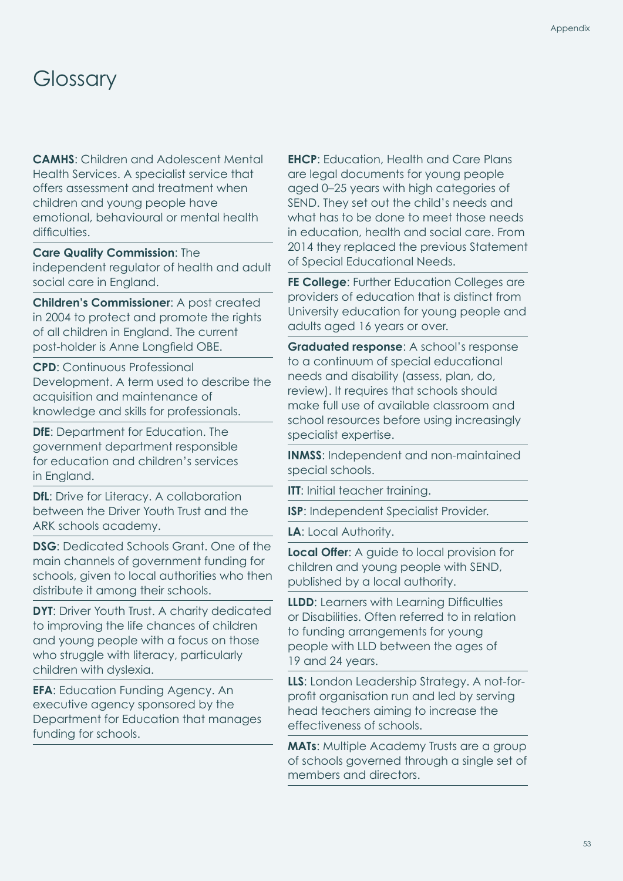## <span id="page-54-0"></span>**Glossary**

**CAMHS**: Children and Adolescent Mental Health Services. A specialist service that offers assessment and treatment when children and young people have emotional, behavioural or mental health difficulties.

#### **Care Quality Commission**: The

independent regulator of health and adult social care in England.

**Children's Commissioner**: A post created in 2004 to protect and promote the rights of all children in England. The current post-holder is Anne Longfield OBE.

**CPD**: Continuous Professional Development. A term used to describe the acquisition and maintenance of knowledge and skills for professionals.

**DfE**: Department for Education. The government department responsible for education and children's services in England.

**DfL**: Drive for Literacy. A collaboration between the Driver Youth Trust and the ARK schools academy.

**DSG**: Dedicated Schools Grant. One of the main channels of government funding for schools, given to local authorities who then distribute it among their schools.

**DYT:** Driver Youth Trust. A charity dedicated to improving the life chances of children and young people with a focus on those who struggle with literacy, particularly children with dyslexia.

**EFA**: Education Funding Agency. An executive agency sponsored by the Department for Education that manages funding for schools.

**EHCP**: Education, Health and Care Plans are legal documents for young people aged 0–25 years with high categories of SEND. They set out the child's needs and what has to be done to meet those needs in education, health and social care. From 2014 they replaced the previous Statement of Special Educational Needs.

**FE College:** Further Education Colleges are providers of education that is distinct from University education for young people and adults aged 16 years or over.

**Graduated response**: A school's response to a continuum of special educational needs and disability (assess, plan, do, review). It requires that schools should make full use of available classroom and school resources before using increasingly specialist expertise.

**INMSS**: Independent and non-maintained special schools.

**ITT:** Initial teacher training.

**ISP**: Independent Specialist Provider.

**LA**: Local Authority.

**Local Offer**: A guide to local provision for children and young people with SEND, published by a local authority.

**LLDD**: Learners with Learning Difficulties or Disabilities. Often referred to in relation to funding arrangements for young people with LLD between the ages of 19 and 24 years.

**LLS**: London Leadership Strategy. A not-forprofit organisation run and led by serving head teachers aiming to increase the effectiveness of schools.

**MATs:** Multiple Academy Trusts are a group of schools governed through a single set of members and directors.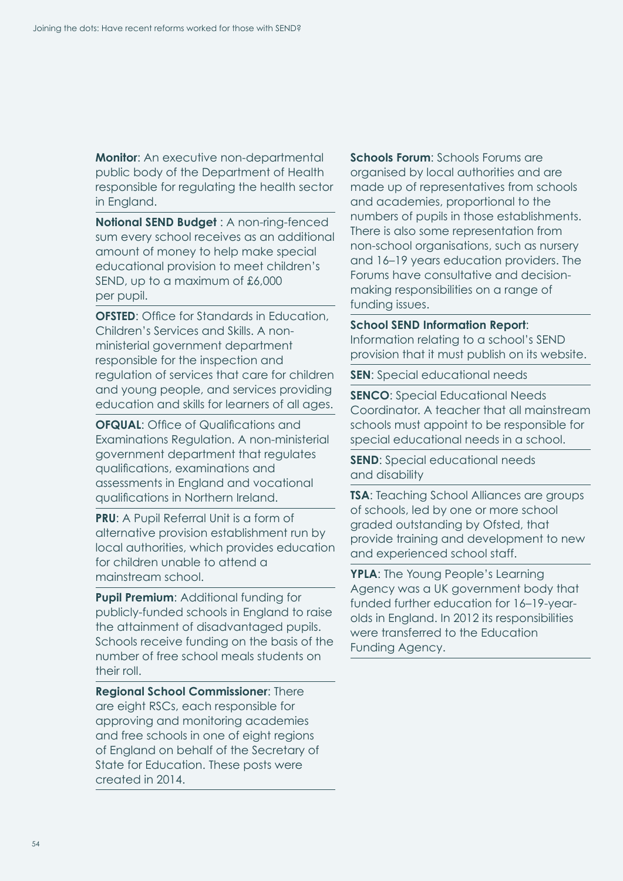**Monitor**: An executive non-departmental public body of the Department of Health responsible for regulating the health sector in England.

**Notional SEND Budget** : A non-ring-fenced sum every school receives as an additional amount of money to help make special educational provision to meet children's SEND, up to a maximum of £6,000 per pupil.

**OFSTED:** Office for Standards in Education, Children's Services and Skills. A nonministerial government department responsible for the inspection and regulation of services that care for children and young people, and services providing education and skills for learners of all ages.

**OFQUAL:** Office of Qualifications and Examinations Regulation. A non-ministerial government department that regulates qualifications, examinations and assessments in England and vocational qualifications in Northern Ireland.

**PRU**: A Pupil Referral Unit is a form of alternative provision establishment run by local authorities, which provides education for children unable to attend a mainstream school.

**Pupil Premium**: Additional funding for publicly-funded schools in England to raise the attainment of disadvantaged pupils. Schools receive funding on the basis of the number of free school meals students on their roll.

**Regional School Commissioner**: There are eight RSCs, each responsible for approving and monitoring academies and free schools in one of eight regions of England on behalf of the Secretary of State for Education. These posts were created in 2014.

**Schools Forum**: Schools Forums are organised by local authorities and are made up of representatives from schools and academies, proportional to the numbers of pupils in those establishments. There is also some representation from non-school organisations, such as nursery and 16–19 years education providers. The Forums have consultative and decisionmaking responsibilities on a range of funding issues.

#### **School SEND Information Report**:

Information relating to a school's SEND provision that it must publish on its website.

**SEN:** Special educational needs

**SENCO:** Special Educational Needs Coordinator. A teacher that all mainstream schools must appoint to be responsible for special educational needs in a school.

**SEND**: Special educational needs and disability

**TSA**: Teaching School Alliances are groups of schools, led by one or more school graded outstanding by Ofsted, that provide training and development to new and experienced school staff.

**YPLA**: The Young People's Learning Agency was a UK government body that funded further education for 16–19-yearolds in England. In 2012 its responsibilities were transferred to the Education Funding Agency.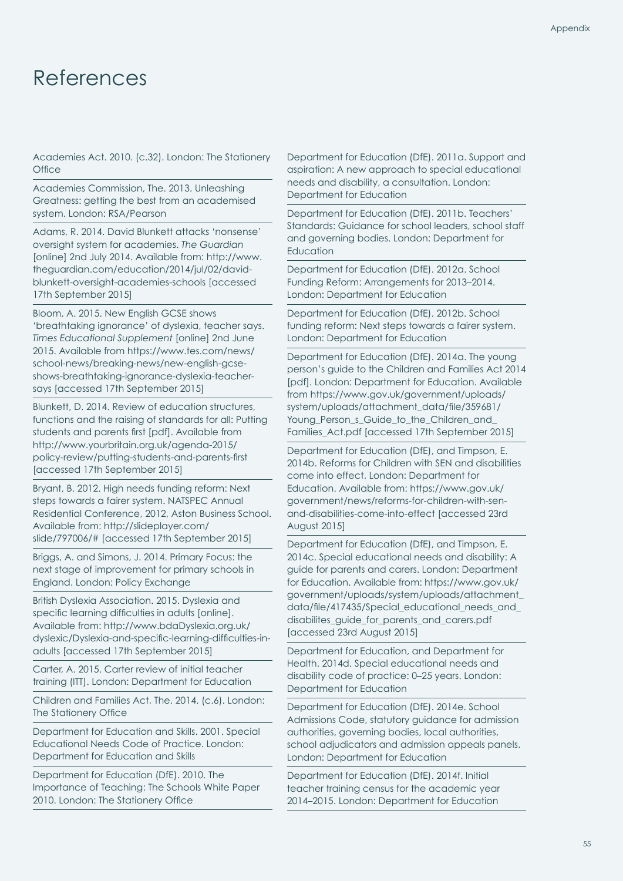## <span id="page-56-0"></span>References

Academies Act. 2010. (c.32). London: The Stationery **Office** 

Academies Commission, The. 2013. Unleashing Greatness: getting the best from an academised system. London: RSA/Pearson

Adams, R. 2014. David Blunkett attacks 'nonsense' oversight system for academies. *The Guardian* [online] 2nd July 2014. Available from: http://www. theguardian.com/education/2014/jul/02/davidblunkett-oversight-academies-schools [accessed 17th September 2015]

Bloom, A. 2015. New English GCSE shows 'breathtaking ignorance' of dyslexia, teacher says. *Times Educational Supplement* [online] 2nd June 2015. Available from https://www.tes.com/news/ school-news/breaking-news/new-english-gcseshows-breathtaking-ignorance-dyslexia-teachersays [accessed 17th September 2015]

Blunkett, D. 2014. Review of education structures, functions and the raising of standards for all: Putting students and parents first [pdf]. Available from http://www.yourbritain.org.uk/agenda-2015/ policy-review/putting-students-and-parents-first [accessed 17th September 2015]

Bryant, B. 2012. High needs funding reform: Next steps towards a fairer system. NATSPEC Annual Residential Conference, 2012, Aston Business School. Available from: http://slideplayer.com/ slide/797006/# [accessed 17th September 2015]

Briggs, A. and Simons, J. 2014. Primary Focus: the next stage of improvement for primary schools in England. London: Policy Exchange

British Dyslexia Association. 2015. Dyslexia and specific learning difficulties in adults [online]. Available from: http://www.bdaDyslexia.org.uk/ dyslexic/Dyslexia-and-specific-learning-difficulties-inadults [accessed 17th September 2015]

Carter, A. 2015. Carter review of initial teacher training (ITT). London: Department for Education

Children and Families Act, The. 2014. (c.6). London: The Stationery Office

Department for Education and Skills. 2001. Special Educational Needs Code of Practice. London: Department for Education and Skills

Department for Education (DfE). 2010. The Importance of Teaching: The Schools White Paper 2010. London: The Stationery Office

Department for Education (DfE). 2011a. Support and aspiration: A new approach to special educational needs and disability, a consultation. London: Department for Education

Department for Education (DfE). 2011b. Teachers' Standards: Guidance for school leaders, school staff and governing bodies. London: Department for **Education** 

Department for Education (DfE). 2012a. School Funding Reform: Arrangements for 2013–2014. London: Department for Education

Department for Education (DfE). 2012b. School funding reform: Next steps towards a fairer system. London: Department for Education

Department for Education (DfE). 2014a. The young person's guide to the Children and Families Act 2014 [pdf]. London: Department for Education. Available from https://www.gov.uk/government/uploads/ system/uploads/attachment\_data/file/359681/ Young Person s Guide to the Children and Families Act.pdf [accessed 17th September 2015]

Department for Education (DfE), and Timpson, E. 2014b. Reforms for Children with SEN and disabilities come into effect. London: Department for Education. Available from: https://www.gov.uk/ government/news/reforms-for-children-with-senand-disabilities-come-into-effect [accessed 23rd August 2015]

Department for Education (DfE), and Timpson, E. 2014c. Special educational needs and disability: A guide for parents and carers. London: Department for Education. Available from: https://www.gov.uk/ government/uploads/system/uploads/attachment\_ data/file/417435/Special\_educational\_needs\_and\_ disabilites\_guide\_for\_parents\_and\_carers.pdf [accessed 23rd August 2015]

Department for Education, and Department for Health. 2014d. Special educational needs and disability code of practice: 0–25 years. London: Department for Education

Department for Education (DfE). 2014e. School Admissions Code, statutory guidance for admission authorities, governing bodies, local authorities, school adjudicators and admission appeals panels. London: Department for Education

Department for Education (DfE). 2014f. Initial teacher training census for the academic year 2014–2015. London: Department for Education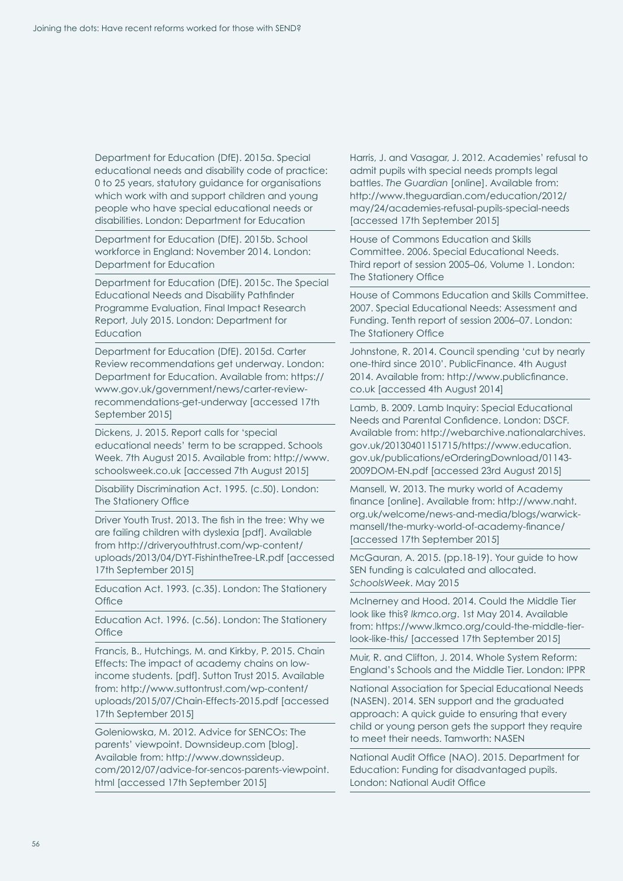Department for Education (DfE). 2015a. Special educational needs and disability code of practice: 0 to 25 years, statutory guidance for organisations which work with and support children and young people who have special educational needs or disabilities. London: Department for Education

Department for Education (DfE). 2015b. School workforce in England: November 2014. London: Department for Education

Department for Education (DfE). 2015c. The Special Educational Needs and Disability Pathfinder Programme Evaluation, Final Impact Research Report, July 2015. London: Department for **Education** 

Department for Education (DfE). 2015d. Carter Review recommendations get underway. London: Department for Education. Available from: https:// www.gov.uk/government/news/carter-reviewrecommendations-get-underway [accessed 17th September 2015]

Dickens, J. 2015. Report calls for 'special educational needs' term to be scrapped. Schools Week. 7th August 2015. Available from: http://www. schoolsweek.co.uk [accessed 7th August 2015]

Disability Discrimination Act. 1995. (c.50). London: The Stationery Office

Driver Youth Trust. 2013. The fish in the tree: Why we are failing children with dyslexia [pdf]. Available from http://driveryouthtrust.com/wp-content/ uploads/2013/04/DYT-FishintheTree-LR.pdf [accessed 17th September 2015]

Education Act. 1993. (c.35). London: The Stationery **Office** 

Education Act. 1996. (c.56). London: The Stationery **Office** 

Francis, B., Hutchings, M. and Kirkby, P. 2015. Chain Effects: The impact of academy chains on lowincome students. [pdf]. Sutton Trust 2015. Available from: http://www.suttontrust.com/wp-content/ uploads/2015/07/Chain-Effects-2015.pdf [accessed 17th September 2015]

Goleniowska, M. 2012. Advice for SENCOs: The parents' viewpoint. Downsideup.com [blog]. Available from: http://www.downssideup. com/2012/07/advice-for-sencos-parents-viewpoint. html [accessed 17th September 2015]

Harris, J. and Vasagar, J. 2012. Academies' refusal to admit pupils with special needs prompts legal battles. *The Guardian* [online]. Available from: http://www.theguardian.com/education/2012/ may/24/academies-refusal-pupils-special-needs [accessed 17th September 2015]

House of Commons Education and Skills Committee. 2006. Special Educational Needs. Third report of session 2005–06, Volume 1. London: The Stationery Office

House of Commons Education and Skills Committee. 2007. Special Educational Needs: Assessment and Funding. Tenth report of session 2006–07. London: The Stationery Office

Johnstone, R. 2014. Council spending 'cut by nearly one-third since 2010'. PublicFinance. 4th August 2014. Available from: http://www.publicfinance. co.uk [accessed 4th August 2014]

Lamb, B. 2009. Lamb Inquiry: Special Educational Needs and Parental Confidence. London: DSCF. Available from: http://webarchive.nationalarchives. gov.uk/20130401151715/https://www.education. gov.uk/publications/eOrderingDownload/01143- 2009DOM-EN.pdf [accessed 23rd August 2015]

Mansell, W. 2013. The murky world of Academy finance [online]. Available from: http://www.naht. org.uk/welcome/news-and-media/blogs/warwickmansell/the-murky-world-of-academy-finance/ [accessed 17th September 2015]

McGauran, A. 2015. (pp.18-19). Your guide to how SEN funding is calculated and allocated. *SchoolsWeek*. May 2015

McInerney and Hood. 2014. Could the Middle Tier look like this? *lkmco.org*. 1st May 2014. Available from: https://www.lkmco.org/could-the-middle-tierlook-like-this/ [accessed 17th September 2015]

Muir, R. and Clifton, J. 2014. Whole System Reform: England's Schools and the Middle Tier. London: IPPR

National Association for Special Educational Needs (NASEN). 2014. SEN support and the graduated approach: A quick guide to ensuring that every child or young person gets the support they require to meet their needs. Tamworth: NASEN

National Audit Office (NAO). 2015. Department for Education: Funding for disadvantaged pupils. London: National Audit Office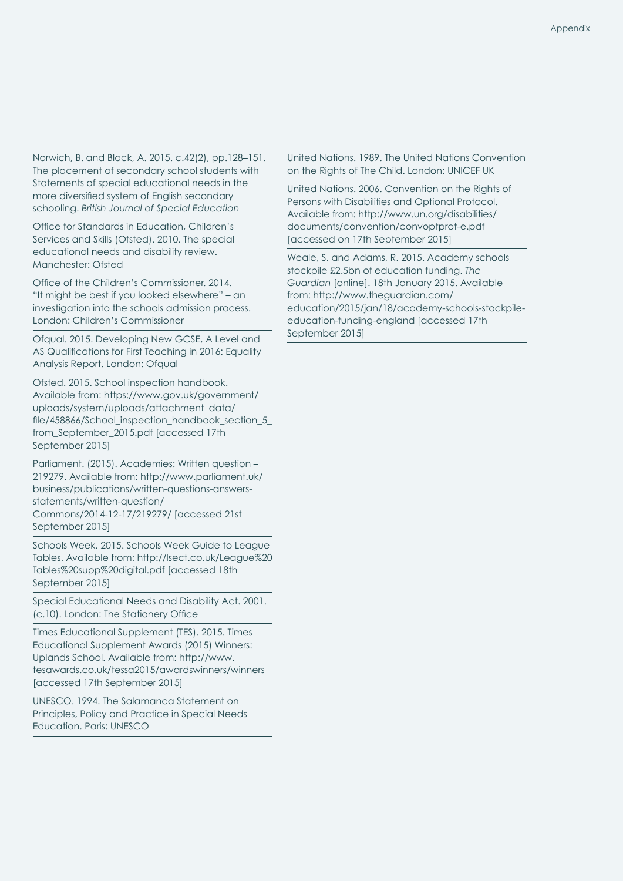Norwich, B. and Black, A. 2015. c.42(2), pp.128–151. The placement of secondary school students with Statements of special educational needs in the more diversified system of English secondary schooling. *British Journal of Special Education*

Office for Standards in Education, Children's Services and Skills (Ofsted). 2010. The special educational needs and disability review. Manchester: Ofsted

Office of the Children's Commissioner. 2014. "It might be best if you looked elsewhere" – an investigation into the schools admission process. London: Children's Commissioner

Ofqual. 2015. Developing New GCSE, A Level and AS Qualifications for First Teaching in 2016: Equality Analysis Report. London: Ofqual

Ofsted. 2015. School inspection handbook. Available from: https://www.gov.uk/government/ uploads/system/uploads/attachment\_data/ file/458866/School\_inspection\_handbook\_section\_5 from\_September\_2015.pdf [accessed 17th September 2015]

Parliament. (2015). Academies: Written question – 219279. Available from: http://www.parliament.uk/ business/publications/written-questions-answersstatements/written-question/ Commons/2014-12-17/219279/ [accessed 21st September 2015]

Schools Week. 2015. Schools Week Guide to League Tables. Available from: http://lsect.co.uk/League%20 Tables%20supp%20digital.pdf [accessed 18th September 2015]

Special Educational Needs and Disability Act. 2001. (c.10). London: The Stationery Office

Times Educational Supplement (TES). 2015. Times Educational Supplement Awards (2015) Winners: Uplands School. Available from: http://www. tesawards.co.uk/tessa2015/awardswinners/winners [accessed 17th September 2015]

UNESCO. 1994. The Salamanca Statement on Principles, Policy and Practice in Special Needs Education. Paris: UNESCO

United Nations. 1989. The United Nations Convention on the Rights of The Child. London: UNICEF UK

United Nations. 2006. Convention on the Rights of Persons with Disabilities and Optional Protocol. Available from: http://www.un.org/disabilities/ documents/convention/convoptprot-e.pdf [accessed on 17th September 2015]

Weale, S. and Adams, R. 2015. Academy schools stockpile £2.5bn of education funding. *The Guardian* [online]. 18th January 2015. Available from: http://www.theguardian.com/ education/2015/jan/18/academy-schools-stockpileeducation-funding-england [accessed 17th September 2015]